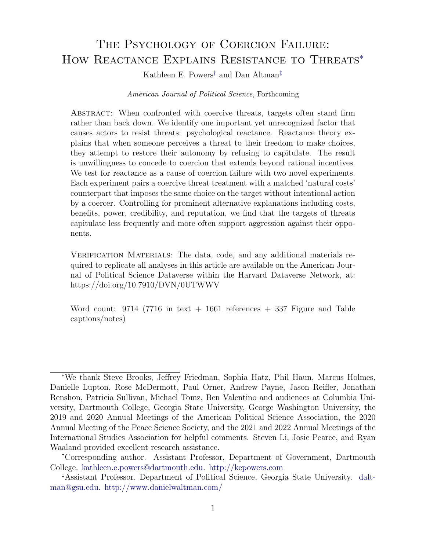# THE PSYCHOLOGY OF COERCION FAILURE: HOW REACTANCE EXPLAINS RESISTANCE TO THREATS<sup>\*</sup>

Kathleen E. Powers[†](#page-0-1) and Dan Altman[‡](#page-0-2)

### American Journal of Political Science, Forthcoming

Abstract: When confronted with coercive threats, targets often stand firm rather than back down. We identify one important yet unrecognized factor that causes actors to resist threats: psychological reactance. Reactance theory explains that when someone perceives a threat to their freedom to make choices, they attempt to restore their autonomy by refusing to capitulate. The result is unwillingness to concede to coercion that extends beyond rational incentives. We test for reactance as a cause of coercion failure with two novel experiments. Each experiment pairs a coercive threat treatment with a matched 'natural costs' counterpart that imposes the same choice on the target without intentional action by a coercer. Controlling for prominent alternative explanations including costs, benefits, power, credibility, and reputation, we find that the targets of threats capitulate less frequently and more often support aggression against their opponents.

VERIFICATION MATERIALS: The data, code, and any additional materials required to replicate all analyses in this article are available on the American Journal of Political Science Dataverse within the Harvard Dataverse Network, at: https://doi.org/10.7910/DVN/0UTWWV

Word count:  $9714$  (7716 in text + 1661 references + 337 Figure and Table captions/notes)

<span id="page-0-0"></span><sup>∗</sup>We thank Steve Brooks, Jeffrey Friedman, Sophia Hatz, Phil Haun, Marcus Holmes, Danielle Lupton, Rose McDermott, Paul Orner, Andrew Payne, Jason Reifler, Jonathan Renshon, Patricia Sullivan, Michael Tomz, Ben Valentino and audiences at Columbia University, Dartmouth College, Georgia State University, George Washington University, the 2019 and 2020 Annual Meetings of the American Political Science Association, the 2020 Annual Meeting of the Peace Science Society, and the 2021 and 2022 Annual Meetings of the International Studies Association for helpful comments. Steven Li, Josie Pearce, and Ryan Waaland provided excellent research assistance.

<span id="page-0-1"></span><sup>†</sup>Corresponding author. Assistant Professor, Department of Government, Dartmouth College. [kathleen.e.powers@dartmouth.edu.](mailto:kathleen.e.powers@dartmouth.edu) <http://kepowers.com>

<span id="page-0-2"></span><sup>‡</sup>Assistant Professor, Department of Political Science, Georgia State University. [dalt](mailto:daltman@gsu.edu)[man@gsu.edu.](mailto:daltman@gsu.edu) <http://www.danielwaltman.com/>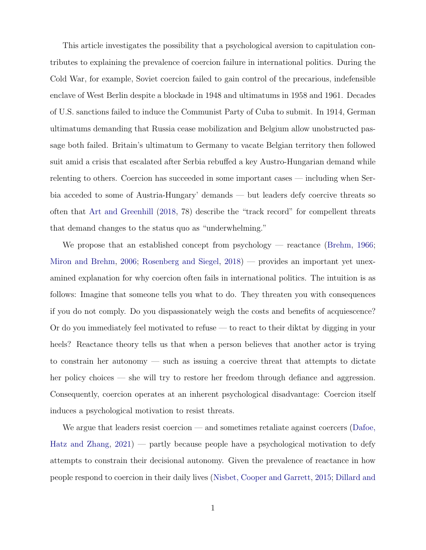This article investigates the possibility that a psychological aversion to capitulation contributes to explaining the prevalence of coercion failure in international politics. During the Cold War, for example, Soviet coercion failed to gain control of the precarious, indefensible enclave of West Berlin despite a blockade in 1948 and ultimatums in 1958 and 1961. Decades of U.S. sanctions failed to induce the Communist Party of Cuba to submit. In 1914, German ultimatums demanding that Russia cease mobilization and Belgium allow unobstructed passage both failed. Britain's ultimatum to Germany to vacate Belgian territory then followed suit amid a crisis that escalated after Serbia rebuffed a key Austro-Hungarian demand while relenting to others. Coercion has succeeded in some important cases — including when Serbia acceded to some of Austria-Hungary' demands — but leaders defy coercive threats so often that [Art and Greenhill](#page-31-0) [\(2018,](#page-31-0) 78) describe the "track record" for compellent threats that demand changes to the status quo as "underwhelming."

We propose that an established concept from psychology — reactance [\(Brehm,](#page-31-1) [1966;](#page-31-1) [Miron and Brehm,](#page-35-0) [2006;](#page-35-0) [Rosenberg and Siegel,](#page-36-0) [2018\)](#page-36-0) — provides an important yet unexamined explanation for why coercion often fails in international politics. The intuition is as follows: Imagine that someone tells you what to do. They threaten you with consequences if you do not comply. Do you dispassionately weigh the costs and benefits of acquiescence? Or do you immediately feel motivated to refuse — to react to their diktat by digging in your heels? Reactance theory tells us that when a person believes that another actor is trying to constrain her autonomy — such as issuing a coercive threat that attempts to dictate her policy choices — she will try to restore her freedom through defiance and aggression. Consequently, coercion operates at an inherent psychological disadvantage: Coercion itself induces a psychological motivation to resist threats.

We argue that leaders resist coercion — and sometimes retaliate against coercers [\(Dafoe,](#page-32-0) [Hatz and Zhang,](#page-32-0) [2021\)](#page-32-0) — partly because people have a psychological motivation to defy attempts to constrain their decisional autonomy. Given the prevalence of reactance in how people respond to coercion in their daily lives [\(Nisbet, Cooper and Garrett,](#page-35-1) [2015;](#page-35-1) [Dillard and](#page-32-1)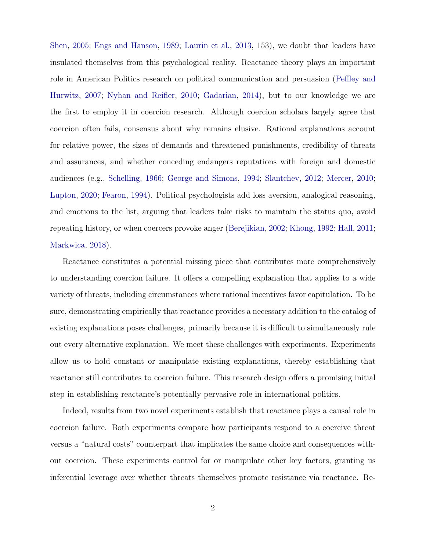[Shen,](#page-32-1) [2005;](#page-32-1) [Engs and Hanson,](#page-32-2) [1989;](#page-32-2) [Laurin et al.,](#page-34-0) [2013,](#page-34-0) 153), we doubt that leaders have insulated themselves from this psychological reality. Reactance theory plays an important role in American Politics research on political communication and persuasion [\(Peffley and](#page-35-2) [Hurwitz,](#page-35-2) [2007;](#page-35-2) [Nyhan and Reifler,](#page-35-3) [2010;](#page-35-3) [Gadarian,](#page-32-3) [2014\)](#page-32-3), but to our knowledge we are the first to employ it in coercion research. Although coercion scholars largely agree that coercion often fails, consensus about why remains elusive. Rational explanations account for relative power, the sizes of demands and threatened punishments, credibility of threats and assurances, and whether conceding endangers reputations with foreign and domestic audiences (e.g., [Schelling,](#page-36-1) [1966;](#page-36-1) [George and Simons,](#page-32-4) [1994;](#page-32-4) [Slantchev,](#page-36-2) [2012;](#page-36-2) [Mercer,](#page-34-1) [2010;](#page-34-1) [Lupton,](#page-34-2) [2020;](#page-34-2) [Fearon,](#page-32-5) [1994\)](#page-32-5). Political psychologists add loss aversion, analogical reasoning, and emotions to the list, arguing that leaders take risks to maintain the status quo, avoid repeating history, or when coercers provoke anger [\(Berejikian,](#page-31-2) [2002;](#page-31-2) [Khong,](#page-34-3) [1992;](#page-34-3) [Hall,](#page-33-0) [2011;](#page-33-0) [Markwica,](#page-34-4) [2018\)](#page-34-4).

Reactance constitutes a potential missing piece that contributes more comprehensively to understanding coercion failure. It offers a compelling explanation that applies to a wide variety of threats, including circumstances where rational incentives favor capitulation. To be sure, demonstrating empirically that reactance provides a necessary addition to the catalog of existing explanations poses challenges, primarily because it is difficult to simultaneously rule out every alternative explanation. We meet these challenges with experiments. Experiments allow us to hold constant or manipulate existing explanations, thereby establishing that reactance still contributes to coercion failure. This research design offers a promising initial step in establishing reactance's potentially pervasive role in international politics.

Indeed, results from two novel experiments establish that reactance plays a causal role in coercion failure. Both experiments compare how participants respond to a coercive threat versus a "natural costs" counterpart that implicates the same choice and consequences without coercion. These experiments control for or manipulate other key factors, granting us inferential leverage over whether threats themselves promote resistance via reactance. Re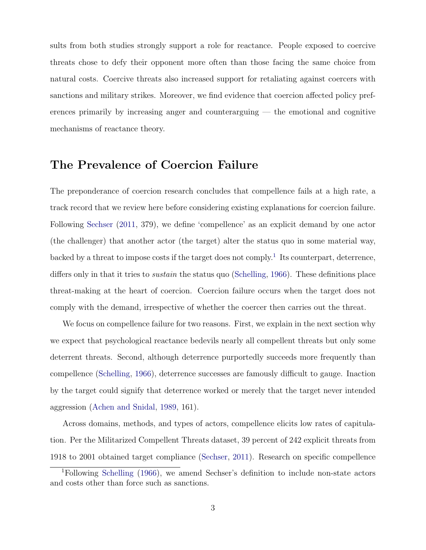sults from both studies strongly support a role for reactance. People exposed to coercive threats chose to defy their opponent more often than those facing the same choice from natural costs. Coercive threats also increased support for retaliating against coercers with sanctions and military strikes. Moreover, we find evidence that coercion affected policy preferences primarily by increasing anger and counterarguing — the emotional and cognitive mechanisms of reactance theory.

# The Prevalence of Coercion Failure

The preponderance of coercion research concludes that compellence fails at a high rate, a track record that we review here before considering existing explanations for coercion failure. Following [Sechser](#page-36-3) [\(2011,](#page-36-3) 379), we define 'compellence' as an explicit demand by one actor (the challenger) that another actor (the target) alter the status quo in some material way, backed by a threat to impose costs if the target does not comply.<sup>[1](#page-3-0)</sup> Its counterpart, deterrence, differs only in that it tries to *sustain* the status quo [\(Schelling,](#page-36-1) [1966\)](#page-36-1). These definitions place threat-making at the heart of coercion. Coercion failure occurs when the target does not comply with the demand, irrespective of whether the coercer then carries out the threat.

We focus on compellence failure for two reasons. First, we explain in the next section why we expect that psychological reactance bedevils nearly all compellent threats but only some deterrent threats. Second, although deterrence purportedly succeeds more frequently than compellence [\(Schelling,](#page-36-1) [1966\)](#page-36-1), deterrence successes are famously difficult to gauge. Inaction by the target could signify that deterrence worked or merely that the target never intended aggression [\(Achen and Snidal,](#page-31-3) [1989,](#page-31-3) 161).

Across domains, methods, and types of actors, compellence elicits low rates of capitulation. Per the Militarized Compellent Threats dataset, 39 percent of 242 explicit threats from 1918 to 2001 obtained target compliance [\(Sechser,](#page-36-3) [2011\)](#page-36-3). Research on specific compellence

<span id="page-3-0"></span><sup>1</sup>Following [Schelling](#page-36-1) [\(1966\)](#page-36-1), we amend Sechser's definition to include non-state actors and costs other than force such as sanctions.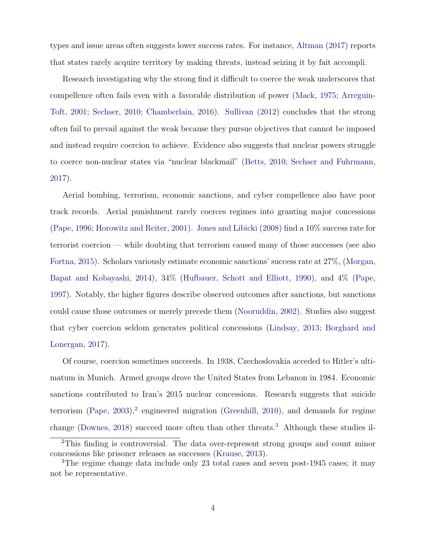types and issue areas often suggests lower success rates. For instance, [Altman](#page-31-4) [\(2017\)](#page-31-4) reports that states rarely acquire territory by making threats, instead seizing it by fait accompli.

Research investigating why the strong find it difficult to coerce the weak underscores that compellence often fails even with a favorable distribution of power [\(Mack,](#page-34-5) [1975;](#page-34-5) [Arreguin-](#page-31-5)[Toft,](#page-31-5) [2001;](#page-31-5) [Sechser,](#page-36-4) [2010;](#page-36-4) [Chamberlain,](#page-31-6) [2016\)](#page-31-6). [Sullivan](#page-37-0) [\(2012\)](#page-37-0) concludes that the strong often fail to prevail against the weak because they pursue objectives that cannot be imposed and instead require coercion to achieve. Evidence also suggests that nuclear powers struggle to coerce non-nuclear states via "nuclear blackmail" [\(Betts,](#page-31-7) [2010;](#page-31-7) [Sechser and Fuhrmann,](#page-36-5) [2017\)](#page-36-5).

Aerial bombing, terrorism, economic sanctions, and cyber compellence also have poor track records. Aerial punishment rarely coerces regimes into granting major concessions [\(Pape,](#page-35-4) [1996;](#page-35-4) [Horowitz and Reiter,](#page-33-1) [2001\)](#page-33-1). [Jones and Libicki](#page-33-2) [\(2008\)](#page-33-2) find a 10% success rate for terrorist coercion — while doubting that terrorism caused many of those successes (see also [Fortna,](#page-32-6) [2015\)](#page-32-6). Scholars variously estimate economic sanctions' success rate at 27%, [\(Morgan,](#page-35-5) [Bapat and Kobayashi,](#page-35-5) [2014\)](#page-35-5), 34% [\(Hufbauer, Schott and Elliott,](#page-33-3) [1990\)](#page-33-3), and 4% [\(Pape,](#page-35-6) [1997\)](#page-35-6). Notably, the higher figures describe observed outcomes after sanctions, but sanctions could cause those outcomes or merely precede them [\(Nooruddin,](#page-35-7) [2002\)](#page-35-7). Studies also suggest that cyber coercion seldom generates political concessions [\(Lindsay,](#page-34-6) [2013;](#page-34-6) [Borghard and](#page-31-8) [Lonergan,](#page-31-8) [2017\)](#page-31-8).

Of course, coercion sometimes succeeds. In 1938, Czechoslovakia acceded to Hitler's ultimatum in Munich. Armed groups drove the United States from Lebanon in 1984. Economic sanctions contributed to Iran's 2015 nuclear concessions. Research suggests that suicide terrorism  $(Pape, 2003)<sup>2</sup>$  $(Pape, 2003)<sup>2</sup>$  $(Pape, 2003)<sup>2</sup>$  $(Pape, 2003)<sup>2</sup>$  $(Pape, 2003)<sup>2</sup>$  $(Pape, 2003)<sup>2</sup>$  engineered migration [\(Greenhill,](#page-33-4) [2010\)](#page-33-4), and demands for regime change [\(Downes,](#page-32-7) [2018\)](#page-32-7) succeed more often than other threats.<sup>[3](#page-4-1)</sup> Although these studies il-

<span id="page-4-0"></span><sup>2</sup>This finding is controversial. The data over-represent strong groups and count minor concessions like prisoner releases as successes [\(Krause,](#page-34-7) [2013\)](#page-34-7).

<span id="page-4-1"></span><sup>3</sup>The regime change data include only 23 total cases and seven post-1945 cases; it may not be representative.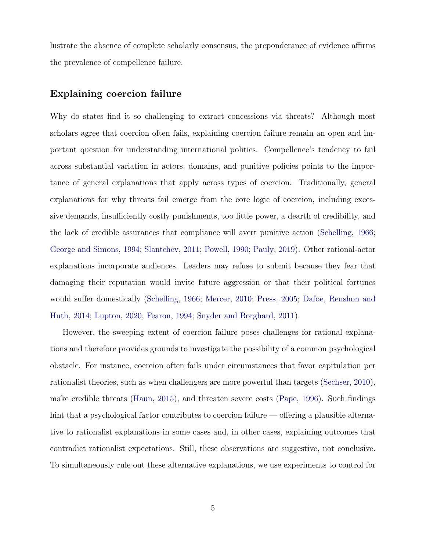lustrate the absence of complete scholarly consensus, the preponderance of evidence affirms the prevalence of compellence failure.

## Explaining coercion failure

Why do states find it so challenging to extract concessions via threats? Although most scholars agree that coercion often fails, explaining coercion failure remain an open and important question for understanding international politics. Compellence's tendency to fail across substantial variation in actors, domains, and punitive policies points to the importance of general explanations that apply across types of coercion. Traditionally, general explanations for why threats fail emerge from the core logic of coercion, including excessive demands, insufficiently costly punishments, too little power, a dearth of credibility, and the lack of credible assurances that compliance will avert punitive action [\(Schelling,](#page-36-1) [1966;](#page-36-1) [George and Simons,](#page-32-4) [1994;](#page-32-4) [Slantchev,](#page-36-6) [2011;](#page-36-6) [Powell,](#page-35-9) [1990;](#page-35-9) [Pauly,](#page-35-10) [2019\)](#page-35-10). Other rational-actor explanations incorporate audiences. Leaders may refuse to submit because they fear that damaging their reputation would invite future aggression or that their political fortunes would suffer domestically [\(Schelling,](#page-36-1) [1966;](#page-36-1) [Mercer,](#page-34-1) [2010;](#page-34-1) [Press,](#page-36-7) [2005;](#page-36-7) [Dafoe, Renshon and](#page-32-8) [Huth,](#page-32-8) [2014;](#page-32-8) [Lupton,](#page-34-2) [2020;](#page-34-2) [Fearon,](#page-32-5) [1994;](#page-32-5) [Snyder and Borghard,](#page-36-8) [2011\)](#page-36-8).

However, the sweeping extent of coercion failure poses challenges for rational explanations and therefore provides grounds to investigate the possibility of a common psychological obstacle. For instance, coercion often fails under circumstances that favor capitulation per rationalist theories, such as when challengers are more powerful than targets [\(Sechser,](#page-36-4) [2010\)](#page-36-4), make credible threats [\(Haun,](#page-33-5) [2015\)](#page-33-5), and threaten severe costs [\(Pape,](#page-35-4) [1996\)](#page-35-4). Such findings hint that a psychological factor contributes to coercion failure — offering a plausible alternative to rationalist explanations in some cases and, in other cases, explaining outcomes that contradict rationalist expectations. Still, these observations are suggestive, not conclusive. To simultaneously rule out these alternative explanations, we use experiments to control for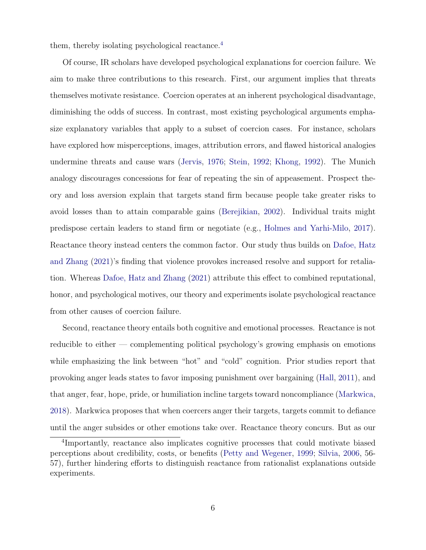them, thereby isolating psychological reactance.<sup>[4](#page-6-0)</sup>

Of course, IR scholars have developed psychological explanations for coercion failure. We aim to make three contributions to this research. First, our argument implies that threats themselves motivate resistance. Coercion operates at an inherent psychological disadvantage, diminishing the odds of success. In contrast, most existing psychological arguments emphasize explanatory variables that apply to a subset of coercion cases. For instance, scholars have explored how misperceptions, images, attribution errors, and flawed historical analogies undermine threats and cause wars [\(Jervis,](#page-33-6) [1976;](#page-33-6) [Stein,](#page-37-1) [1992;](#page-37-1) [Khong,](#page-34-3) [1992\)](#page-34-3). The Munich analogy discourages concessions for fear of repeating the sin of appeasement. Prospect theory and loss aversion explain that targets stand firm because people take greater risks to avoid losses than to attain comparable gains [\(Berejikian,](#page-31-2) [2002\)](#page-31-2). Individual traits might predispose certain leaders to stand firm or negotiate (e.g., [Holmes and Yarhi-Milo,](#page-33-7) [2017\)](#page-33-7). Reactance theory instead centers the common factor. Our study thus builds on [Dafoe, Hatz](#page-32-0) [and Zhang](#page-32-0) [\(2021\)](#page-32-0)'s finding that violence provokes increased resolve and support for retaliation. Whereas [Dafoe, Hatz and Zhang](#page-32-0) [\(2021\)](#page-32-0) attribute this effect to combined reputational, honor, and psychological motives, our theory and experiments isolate psychological reactance from other causes of coercion failure.

Second, reactance theory entails both cognitive and emotional processes. Reactance is not reducible to either — complementing political psychology's growing emphasis on emotions while emphasizing the link between "hot" and "cold" cognition. Prior studies report that provoking anger leads states to favor imposing punishment over bargaining [\(Hall,](#page-33-0) [2011\)](#page-33-0), and that anger, fear, hope, pride, or humiliation incline targets toward noncompliance [\(Markwica,](#page-34-4) [2018\)](#page-34-4). Markwica proposes that when coercers anger their targets, targets commit to defiance until the anger subsides or other emotions take over. Reactance theory concurs. But as our

<span id="page-6-0"></span><sup>4</sup> Importantly, reactance also implicates cognitive processes that could motivate biased perceptions about credibility, costs, or benefits [\(Petty and Wegener,](#page-35-11) [1999;](#page-35-11) [Silvia,](#page-36-9) [2006,](#page-36-9) 56- 57), further hindering efforts to distinguish reactance from rationalist explanations outside experiments.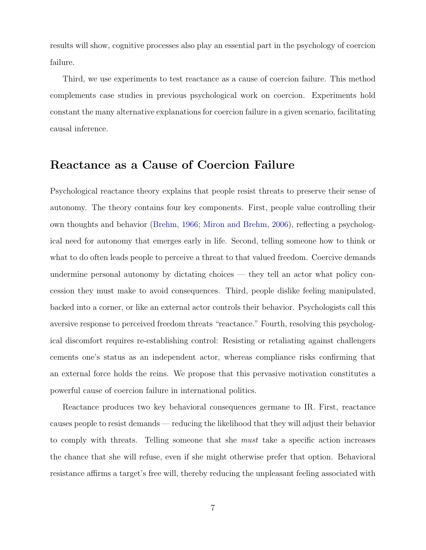results will show, cognitive processes also play an essential part in the psychology of coercion failure.

Third, we use experiments to test reactance as a cause of coercion failure. This method complements case studies in previous psychological work on coercion. Experiments hold constant the many alternative explanations for coercion failure in a given scenario, facilitating causal inference.

# Reactance as a Cause of Coercion Failure

Psychological reactance theory explains that people resist threats to preserve their sense of autonomy. The theory contains four key components. First, people value controlling their own thoughts and behavior [\(Brehm,](#page-31-1) [1966;](#page-31-1) [Miron and Brehm,](#page-35-0) [2006\)](#page-35-0), reflecting a psychological need for autonomy that emerges early in life. Second, telling someone how to think or what to do often leads people to perceive a threat to that valued freedom. Coercive demands undermine personal autonomy by dictating choices — they tell an actor what policy concession they must make to avoid consequences. Third, people dislike feeling manipulated, backed into a corner, or like an external actor controls their behavior. Psychologists call this aversive response to perceived freedom threats "reactance." Fourth, resolving this psychological discomfort requires re-establishing control: Resisting or retaliating against challengers cements one's status as an independent actor, whereas compliance risks confirming that an external force holds the reins. We propose that this pervasive motivation constitutes a powerful cause of coercion failure in international politics.

Reactance produces two key behavioral consequences germane to IR. First, reactance causes people to resist demands — reducing the likelihood that they will adjust their behavior to comply with threats. Telling someone that she must take a specific action increases the chance that she will refuse, even if she might otherwise prefer that option. Behavioral resistance affirms a target's free will, thereby reducing the unpleasant feeling associated with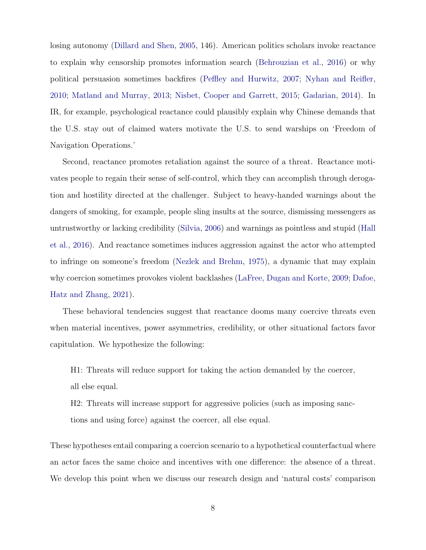losing autonomy [\(Dillard and Shen,](#page-32-1) [2005,](#page-32-1) 146). American politics scholars invoke reactance to explain why censorship promotes information search [\(Behrouzian et al.,](#page-31-9) [2016\)](#page-31-9) or why political persuasion sometimes backfires [\(Peffley and Hurwitz,](#page-35-2) [2007;](#page-35-2) [Nyhan and Reifler,](#page-35-3) [2010;](#page-35-3) [Matland and Murray,](#page-34-8) [2013;](#page-34-8) [Nisbet, Cooper and Garrett,](#page-35-1) [2015;](#page-35-1) [Gadarian,](#page-32-3) [2014\)](#page-32-3). In IR, for example, psychological reactance could plausibly explain why Chinese demands that the U.S. stay out of claimed waters motivate the U.S. to send warships on 'Freedom of Navigation Operations.'

Second, reactance promotes retaliation against the source of a threat. Reactance motivates people to regain their sense of self-control, which they can accomplish through derogation and hostility directed at the challenger. Subject to heavy-handed warnings about the dangers of smoking, for example, people sling insults at the source, dismissing messengers as untrustworthy or lacking credibility [\(Silvia,](#page-36-9) [2006\)](#page-36-9) and warnings as pointless and stupid [\(Hall](#page-33-8) [et al.,](#page-33-8) [2016\)](#page-33-8). And reactance sometimes induces aggression against the actor who attempted to infringe on someone's freedom [\(Nezlek and Brehm,](#page-35-12) [1975\)](#page-35-12), a dynamic that may explain why coercion sometimes provokes violent backlashes [\(LaFree, Dugan and Korte,](#page-34-9) [2009;](#page-34-9) [Dafoe,](#page-32-0) [Hatz and Zhang,](#page-32-0) [2021\)](#page-32-0).

These behavioral tendencies suggest that reactance dooms many coercive threats even when material incentives, power asymmetries, credibility, or other situational factors favor capitulation. We hypothesize the following:

H1: Threats will reduce support for taking the action demanded by the coercer, all else equal.

H2: Threats will increase support for aggressive policies (such as imposing sanctions and using force) against the coercer, all else equal.

These hypotheses entail comparing a coercion scenario to a hypothetical counterfactual where an actor faces the same choice and incentives with one difference: the absence of a threat. We develop this point when we discuss our research design and 'natural costs' comparison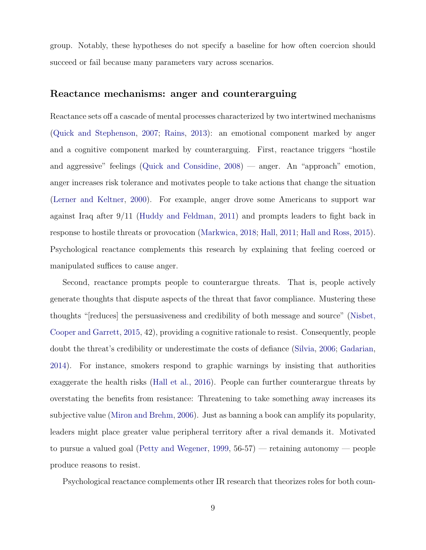group. Notably, these hypotheses do not specify a baseline for how often coercion should succeed or fail because many parameters vary across scenarios.

## Reactance mechanisms: anger and counterarguing

Reactance sets off a cascade of mental processes characterized by two intertwined mechanisms [\(Quick and Stephenson,](#page-36-10) [2007;](#page-36-10) [Rains,](#page-36-11) [2013\)](#page-36-11): an emotional component marked by anger and a cognitive component marked by counterarguing. First, reactance triggers "hostile and aggressive" feelings [\(Quick and Considine,](#page-36-12) [2008\)](#page-36-12) — anger. An "approach" emotion, anger increases risk tolerance and motivates people to take actions that change the situation [\(Lerner and Keltner,](#page-34-10) [2000\)](#page-34-10). For example, anger drove some Americans to support war against Iraq after 9/11 [\(Huddy and Feldman,](#page-33-9) [2011\)](#page-33-9) and prompts leaders to fight back in response to hostile threats or provocation [\(Markwica,](#page-34-4) [2018;](#page-34-4) [Hall,](#page-33-0) [2011;](#page-33-0) [Hall and Ross,](#page-33-10) [2015\)](#page-33-10). Psychological reactance complements this research by explaining that feeling coerced or manipulated suffices to cause anger.

Second, reactance prompts people to counterargue threats. That is, people actively generate thoughts that dispute aspects of the threat that favor compliance. Mustering these thoughts "[reduces] the persuasiveness and credibility of both message and source" [\(Nisbet,](#page-35-1) [Cooper and Garrett,](#page-35-1) [2015,](#page-35-1) 42), providing a cognitive rationale to resist. Consequently, people doubt the threat's credibility or underestimate the costs of defiance [\(Silvia,](#page-36-9) [2006;](#page-36-9) [Gadarian,](#page-32-3) [2014\)](#page-32-3). For instance, smokers respond to graphic warnings by insisting that authorities exaggerate the health risks [\(Hall et al.,](#page-33-8) [2016\)](#page-33-8). People can further counterargue threats by overstating the benefits from resistance: Threatening to take something away increases its subjective value [\(Miron and Brehm,](#page-35-0) [2006\)](#page-35-0). Just as banning a book can amplify its popularity, leaders might place greater value peripheral territory after a rival demands it. Motivated to pursue a valued goal [\(Petty and Wegener,](#page-35-11) [1999,](#page-35-11) 56-57) — retaining autonomy — people produce reasons to resist.

Psychological reactance complements other IR research that theorizes roles for both coun-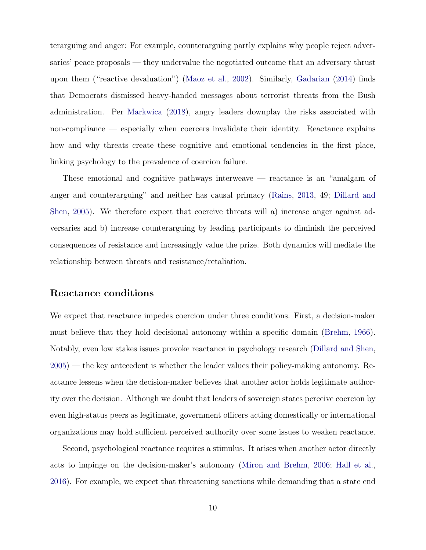terarguing and anger: For example, counterarguing partly explains why people reject adversaries' peace proposals — they undervalue the negotiated outcome that an adversary thrust upon them ("reactive devaluation") [\(Maoz et al.,](#page-34-11) [2002\)](#page-34-11). Similarly, [Gadarian](#page-32-3) [\(2014\)](#page-32-3) finds that Democrats dismissed heavy-handed messages about terrorist threats from the Bush administration. Per [Markwica](#page-34-4) [\(2018\)](#page-34-4), angry leaders downplay the risks associated with non-compliance — especially when coercers invalidate their identity. Reactance explains how and why threats create these cognitive and emotional tendencies in the first place, linking psychology to the prevalence of coercion failure.

These emotional and cognitive pathways interweave — reactance is an "amalgam of anger and counterarguing" and neither has causal primacy [\(Rains,](#page-36-11) [2013,](#page-36-11) 49; [Dillard and](#page-32-1) [Shen,](#page-32-1) [2005\)](#page-32-1). We therefore expect that coercive threats will a) increase anger against adversaries and b) increase counterarguing by leading participants to diminish the perceived consequences of resistance and increasingly value the prize. Both dynamics will mediate the relationship between threats and resistance/retaliation.

### Reactance conditions

We expect that reactance impedes coercion under three conditions. First, a decision-maker must believe that they hold decisional autonomy within a specific domain [\(Brehm,](#page-31-1) [1966\)](#page-31-1). Notably, even low stakes issues provoke reactance in psychology research [\(Dillard and Shen,](#page-32-1) [2005\)](#page-32-1) — the key antecedent is whether the leader values their policy-making autonomy. Reactance lessens when the decision-maker believes that another actor holds legitimate authority over the decision. Although we doubt that leaders of sovereign states perceive coercion by even high-status peers as legitimate, government officers acting domestically or international organizations may hold sufficient perceived authority over some issues to weaken reactance.

Second, psychological reactance requires a stimulus. It arises when another actor directly acts to impinge on the decision-maker's autonomy [\(Miron and Brehm,](#page-35-0) [2006;](#page-35-0) [Hall et al.,](#page-33-8) [2016\)](#page-33-8). For example, we expect that threatening sanctions while demanding that a state end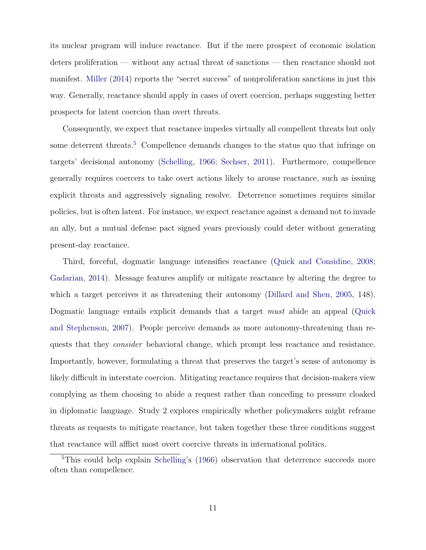its nuclear program will induce reactance. But if the mere prospect of economic isolation deters proliferation — without any actual threat of sanctions — then reactance should not manifest. [Miller](#page-34-12) [\(2014\)](#page-34-12) reports the "secret success" of nonproliferation sanctions in just this way. Generally, reactance should apply in cases of overt coercion, perhaps suggesting better prospects for latent coercion than overt threats.

Consequently, we expect that reactance impedes virtually all compellent threats but only some deterrent threats.<sup>[5](#page-11-0)</sup> Compellence demands changes to the status quo that infringe on targets' decisional autonomy [\(Schelling,](#page-36-1) [1966;](#page-36-1) [Sechser,](#page-36-3) [2011\)](#page-36-3). Furthermore, compellence generally requires coercers to take overt actions likely to arouse reactance, such as issuing explicit threats and aggressively signaling resolve. Deterrence sometimes requires similar policies, but is often latent. For instance, we expect reactance against a demand not to invade an ally, but a mutual defense pact signed years previously could deter without generating present-day reactance.

Third, forceful, dogmatic language intensifies reactance [\(Quick and Considine,](#page-36-12) [2008;](#page-36-12) [Gadarian,](#page-32-3) [2014\)](#page-32-3). Message features amplify or mitigate reactance by altering the degree to which a target perceives it as threatening their autonomy [\(Dillard and Shen,](#page-32-1) [2005,](#page-32-1) 148). Dogmatic language entails explicit demands that a target must abide an appeal [\(Quick](#page-36-10) [and Stephenson,](#page-36-10) [2007\)](#page-36-10). People perceive demands as more autonomy-threatening than requests that they consider behavioral change, which prompt less reactance and resistance. Importantly, however, formulating a threat that preserves the target's sense of autonomy is likely difficult in interstate coercion. Mitigating reactance requires that decision-makers view complying as them choosing to abide a request rather than conceding to pressure cloaked in diplomatic language. Study 2 explores empirically whether policymakers might reframe threats as requests to mitigate reactance, but taken together these three conditions suggest that reactance will afflict most overt coercive threats in international politics.

<span id="page-11-0"></span><sup>5</sup>This could help explain [Schelling'](#page-36-1)s [\(1966\)](#page-36-1) observation that deterrence succeeds more often than compellence.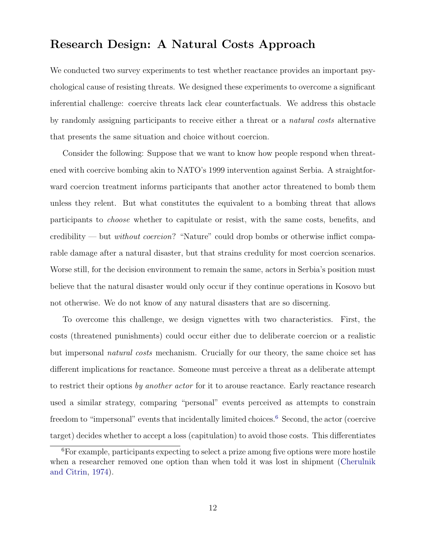# Research Design: A Natural Costs Approach

We conducted two survey experiments to test whether reactance provides an important psychological cause of resisting threats. We designed these experiments to overcome a significant inferential challenge: coercive threats lack clear counterfactuals. We address this obstacle by randomly assigning participants to receive either a threat or a natural costs alternative that presents the same situation and choice without coercion.

Consider the following: Suppose that we want to know how people respond when threatened with coercive bombing akin to NATO's 1999 intervention against Serbia. A straightforward coercion treatment informs participants that another actor threatened to bomb them unless they relent. But what constitutes the equivalent to a bombing threat that allows participants to choose whether to capitulate or resist, with the same costs, benefits, and credibility — but without coercion? "Nature" could drop bombs or otherwise inflict comparable damage after a natural disaster, but that strains credulity for most coercion scenarios. Worse still, for the decision environment to remain the same, actors in Serbia's position must believe that the natural disaster would only occur if they continue operations in Kosovo but not otherwise. We do not know of any natural disasters that are so discerning.

To overcome this challenge, we design vignettes with two characteristics. First, the costs (threatened punishments) could occur either due to deliberate coercion or a realistic but impersonal natural costs mechanism. Crucially for our theory, the same choice set has different implications for reactance. Someone must perceive a threat as a deliberate attempt to restrict their options by another actor for it to arouse reactance. Early reactance research used a similar strategy, comparing "personal" events perceived as attempts to constrain freedom to "impersonal" events that incidentally limited choices.<sup>[6](#page-12-0)</sup> Second, the actor (coercive target) decides whether to accept a loss (capitulation) to avoid those costs. This differentiates

<span id="page-12-0"></span><sup>6</sup>For example, participants expecting to select a prize among five options were more hostile when a researcher removed one option than when told it was lost in shipment [\(Cherulnik](#page-32-9) [and Citrin,](#page-32-9) [1974\)](#page-32-9).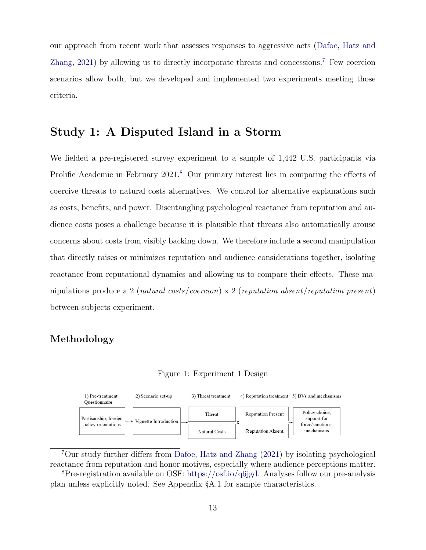our approach from recent work that assesses responses to aggressive acts [\(Dafoe, Hatz and](#page-32-0) [Zhang,](#page-32-0) [2021\)](#page-32-0) by allowing us to directly incorporate threats and concessions.[7](#page-13-0) Few coercion scenarios allow both, but we developed and implemented two experiments meeting those criteria.

# Study 1: A Disputed Island in a Storm

We fielded a pre-registered survey experiment to a sample of 1,442 U.S. participants via Prolific Academic in February 2021.<sup>[8](#page-13-1)</sup> Our primary interest lies in comparing the effects of coercive threats to natural costs alternatives. We control for alternative explanations such as costs, benefits, and power. Disentangling psychological reactance from reputation and audience costs poses a challenge because it is plausible that threats also automatically arouse concerns about costs from visibly backing down. We therefore include a second manipulation that directly raises or minimizes reputation and audience considerations together, isolating reactance from reputational dynamics and allowing us to compare their effects. These manipulations produce a 2 (natural costs/coercion) x 2 (reputation absent/reputation present) between-subjects experiment.

## <span id="page-13-2"></span>Methodology

Figure 1: Experiment 1 Design



<span id="page-13-0"></span><sup>7</sup>Our study further differs from [Dafoe, Hatz and Zhang](#page-32-0) [\(2021\)](#page-32-0) by isolating psychological reactance from reputation and honor motives, especially where audience perceptions matter.

<span id="page-13-1"></span><sup>8</sup>Pre-registration available on OSF: [https://osf.io/q6jgd.](https://osf.io/q6jgd) Analyses follow our pre-analysis plan unless explicitly noted. See Appendix §A.1 for sample characteristics.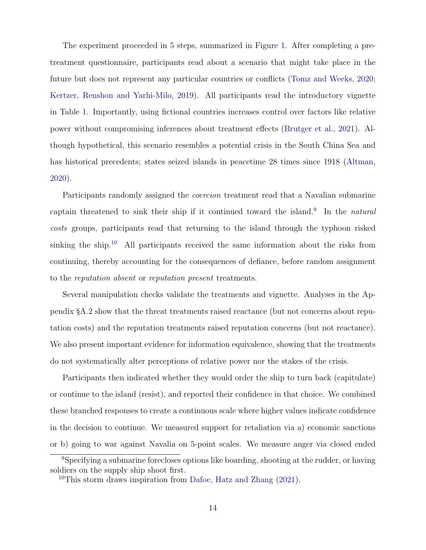The experiment proceeded in 5 steps, summarized in Figure [1.](#page-13-2) After completing a pretreatment questionnaire, participants read about a scenario that might take place in the future but does not represent any particular countries or conflicts [\(Tomz and Weeks,](#page-37-2) [2020;](#page-37-2) [Kertzer, Renshon and Yarhi-Milo,](#page-34-13) [2019\)](#page-34-13). All participants read the introductory vignette in Table [1.](#page-15-0) Importantly, using fictional countries increases control over factors like relative power without compromising inferences about treatment effects [\(Brutger et al.,](#page-31-10) [2021\)](#page-31-10). Although hypothetical, this scenario resembles a potential crisis in the South China Sea and has historical precedents; states seized islands in peacetime 28 times since 1918 [\(Altman,](#page-31-11) [2020\)](#page-31-11).

Participants randomly assigned the *coercion* treatment read that a Navalian submarine captain threatened to sink their ship if it continued toward the island.<sup>[9](#page-14-0)</sup> In the *natural* costs groups, participants read that returning to the island through the typhoon risked sinking the ship.<sup>[10](#page-14-1)</sup> All participants received the same information about the risks from continuing, thereby accounting for the consequences of defiance, before random assignment to the reputation absent or reputation present treatments.

Several manipulation checks validate the treatments and vignette. Analyses in the Appendix §A.2 show that the threat treatments raised reactance (but not concerns about reputation costs) and the reputation treatments raised reputation concerns (but not reactance). We also present important evidence for information equivalence, showing that the treatments do not systematically alter perceptions of relative power nor the stakes of the crisis.

Participants then indicated whether they would order the ship to turn back (capitulate) or continue to the island (resist), and reported their confidence in that choice. We combined these branched responses to create a continuous scale where higher values indicate confidence in the decision to continue. We measured support for retaliation via a) economic sanctions or b) going to war against Navalia on 5-point scales. We measure anger via closed ended

<span id="page-14-0"></span><sup>9</sup>Specifying a submarine forecloses options like boarding, shooting at the rudder, or having soldiers on the supply ship shoot first.

<span id="page-14-1"></span><sup>&</sup>lt;sup>10</sup>This storm draws inspiration from [Dafoe, Hatz and Zhang](#page-32-0)  $(2021)$ .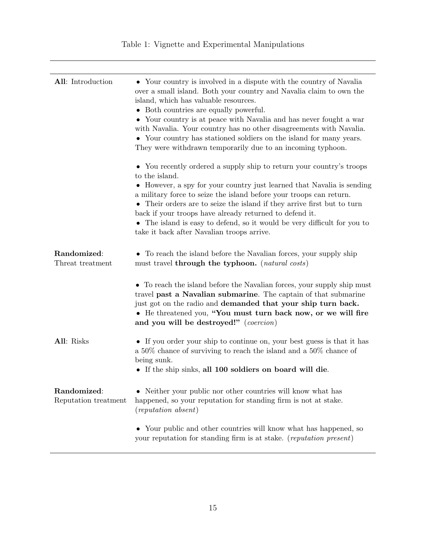<span id="page-15-0"></span>

| All: Introduction                   | • Your country is involved in a dispute with the country of Navalia<br>over a small island. Both your country and Navalia claim to own the<br>island, which has valuable resources.<br>• Both countries are equally powerful.<br>• Your country is at peace with Navalia and has never fought a war<br>with Navalia. Your country has no other disagreements with Navalia.<br>• Your country has stationed soldiers on the island for many years.<br>They were withdrawn temporarily due to an incoming typhoon.<br>• You recently ordered a supply ship to return your country's troops<br>to the island.<br>• However, a spy for your country just learned that Navalia is sending<br>a military force to seize the island before your troops can return.<br>• Their orders are to seize the island if they arrive first but to turn<br>back if your troops have already returned to defend it.<br>• The island is easy to defend, so it would be very difficult for you to<br>take it back after Navalian troops arrive. |
|-------------------------------------|-----------------------------------------------------------------------------------------------------------------------------------------------------------------------------------------------------------------------------------------------------------------------------------------------------------------------------------------------------------------------------------------------------------------------------------------------------------------------------------------------------------------------------------------------------------------------------------------------------------------------------------------------------------------------------------------------------------------------------------------------------------------------------------------------------------------------------------------------------------------------------------------------------------------------------------------------------------------------------------------------------------------------------|
| Randomized:<br>Threat treatment     | • To reach the island before the Navalian forces, your supply ship<br>must travel through the typhoon. (natural costs)                                                                                                                                                                                                                                                                                                                                                                                                                                                                                                                                                                                                                                                                                                                                                                                                                                                                                                      |
|                                     | • To reach the island before the Navalian forces, your supply ship must<br>travel past a Navalian submarine. The captain of that submarine<br>just got on the radio and demanded that your ship turn back.<br>• He threatened you, "You must turn back now, or we will fire<br>and you will be destroyed!" (coercion)                                                                                                                                                                                                                                                                                                                                                                                                                                                                                                                                                                                                                                                                                                       |
| All: Risks                          | • If you order your ship to continue on, your best guess is that it has<br>a $50\%$ chance of surviving to reach the island and a $50\%$ chance of<br>being sunk.<br>• If the ship sinks, all 100 soldiers on board will die.                                                                                                                                                                                                                                                                                                                                                                                                                                                                                                                                                                                                                                                                                                                                                                                               |
| Randomized:<br>Reputation treatment | Neither your public nor other countries will know what has<br>happened, so your reputation for standing firm is not at stake.<br>(reputation absent)                                                                                                                                                                                                                                                                                                                                                                                                                                                                                                                                                                                                                                                                                                                                                                                                                                                                        |
|                                     | • Your public and other countries will know what has happened, so<br>your reputation for standing firm is at stake. (reputation present)                                                                                                                                                                                                                                                                                                                                                                                                                                                                                                                                                                                                                                                                                                                                                                                                                                                                                    |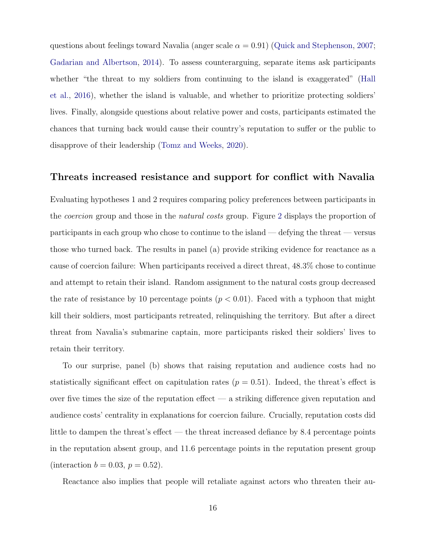questions about feelings toward Navalia (anger scale  $\alpha = 0.91$ ) [\(Quick and Stephenson,](#page-36-10) [2007;](#page-36-10) [Gadarian and Albertson,](#page-32-10) [2014\)](#page-32-10). To assess counterarguing, separate items ask participants whether "the threat to my soldiers from continuing to the island is exaggerated" [\(Hall](#page-33-8) [et al.,](#page-33-8) [2016\)](#page-33-8), whether the island is valuable, and whether to prioritize protecting soldiers' lives. Finally, alongside questions about relative power and costs, participants estimated the chances that turning back would cause their country's reputation to suffer or the public to disapprove of their leadership [\(Tomz and Weeks,](#page-37-2) [2020\)](#page-37-2).

## Threats increased resistance and support for conflict with Navalia

Evaluating hypotheses 1 and 2 requires comparing policy preferences between participants in the coercion group and those in the natural costs group. Figure [2](#page-17-0) displays the proportion of participants in each group who chose to continue to the island — defying the threat — versus those who turned back. The results in panel (a) provide striking evidence for reactance as a cause of coercion failure: When participants received a direct threat, 48.3% chose to continue and attempt to retain their island. Random assignment to the natural costs group decreased the rate of resistance by 10 percentage points  $(p < 0.01)$ . Faced with a typhoon that might kill their soldiers, most participants retreated, relinquishing the territory. But after a direct threat from Navalia's submarine captain, more participants risked their soldiers' lives to retain their territory.

To our surprise, panel (b) shows that raising reputation and audience costs had no statistically significant effect on capitulation rates ( $p = 0.51$ ). Indeed, the threat's effect is over five times the size of the reputation effect — a striking difference given reputation and audience costs' centrality in explanations for coercion failure. Crucially, reputation costs did little to dampen the threat's effect — the threat increased defiance by 8.4 percentage points in the reputation absent group, and 11.6 percentage points in the reputation present group (interaction  $b = 0.03, p = 0.52$ ).

Reactance also implies that people will retaliate against actors who threaten their au-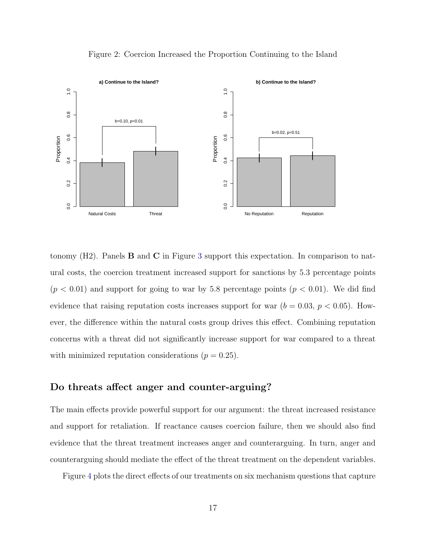<span id="page-17-0"></span>

Figure 2: Coercion Increased the Proportion Continuing to the Island

tonomy  $(H2)$ . Panels **B** and **C** in Figure [3](#page-18-0) support this expectation. In comparison to natural costs, the coercion treatment increased support for sanctions by 5.3 percentage points  $(p < 0.01)$  and support for going to war by 5.8 percentage points  $(p < 0.01)$ . We did find evidence that raising reputation costs increases support for war  $(b = 0.03, p < 0.05)$ . However, the difference within the natural costs group drives this effect. Combining reputation concerns with a threat did not significantly increase support for war compared to a threat with minimized reputation considerations  $(p = 0.25)$ .

## Do threats affect anger and counter-arguing?

The main effects provide powerful support for our argument: the threat increased resistance and support for retaliation. If reactance causes coercion failure, then we should also find evidence that the threat treatment increases anger and counterarguing. In turn, anger and counterarguing should mediate the effect of the threat treatment on the dependent variables.

Figure [4](#page-19-0) plots the direct effects of our treatments on six mechanism questions that capture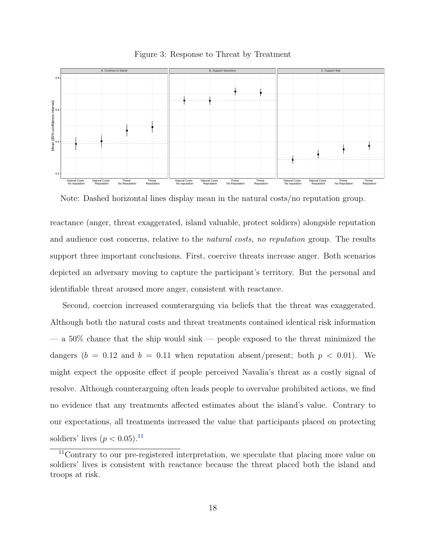<span id="page-18-0"></span>

Figure 3: Response to Threat by Treatment

Note: Dashed horizontal lines display mean in the natural costs/no reputation group.

reactance (anger, threat exaggerated, island valuable, protect soldiers) alongside reputation and audience cost concerns, relative to the *natural costs, no reputation* group. The results support three important conclusions. First, coercive threats increase anger. Both scenarios depicted an adversary moving to capture the participant's territory. But the personal and identifiable threat aroused more anger, consistent with reactance.

Second, coercion increased counterarguing via beliefs that the threat was exaggerated. Although both the natural costs and threat treatments contained identical risk information — a 50% chance that the ship would sink — people exposed to the threat minimized the dangers ( $b = 0.12$  and  $b = 0.11$  when reputation absent/present; both  $p < 0.01$ ). We might expect the opposite effect if people perceived Navalia's threat as a costly signal of resolve. Although counterarguing often leads people to overvalue prohibited actions, we find no evidence that any treatments affected estimates about the island's value. Contrary to our expectations, all treatments increased the value that participants placed on protecting soldiers' lives  $(p < 0.05)^{11}$  $(p < 0.05)^{11}$  $(p < 0.05)^{11}$ 

<span id="page-18-1"></span><sup>&</sup>lt;sup>11</sup>Contrary to our pre-registered interpretation, we speculate that placing more value on soldiers' lives is consistent with reactance because the threat placed both the island and troops at risk.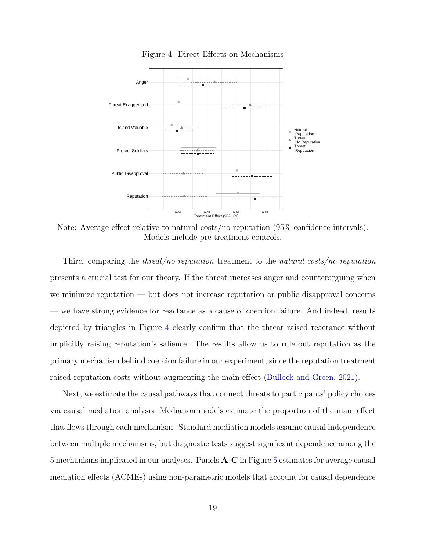<span id="page-19-0"></span>

Figure 4: Direct Effects on Mechanisms

Note: Average effect relative to natural costs/no reputation (95% confidence intervals). Models include pre-treatment controls.

Third, comparing the *threat/no reputation* treatment to the *natural costs/no reputation* presents a crucial test for our theory. If the threat increases anger and counterarguing when we minimize reputation — but does not increase reputation or public disapproval concerns — we have strong evidence for reactance as a cause of coercion failure. And indeed, results depicted by triangles in Figure [4](#page-19-0) clearly confirm that the threat raised reactance without implicitly raising reputation's salience. The results allow us to rule out reputation as the primary mechanism behind coercion failure in our experiment, since the reputation treatment raised reputation costs without augmenting the main effect [\(Bullock and Green,](#page-31-12) [2021\)](#page-31-12).

Next, we estimate the causal pathways that connect threats to participants' policy choices via causal mediation analysis. Mediation models estimate the proportion of the main effect that flows through each mechanism. Standard mediation models assume causal independence between multiple mechanisms, but diagnostic tests suggest significant dependence among the 5 mechanisms implicated in our analyses. Panels A-C in Figure [5](#page-20-0) estimates for average causal mediation effects (ACMEs) using non-parametric models that account for causal dependence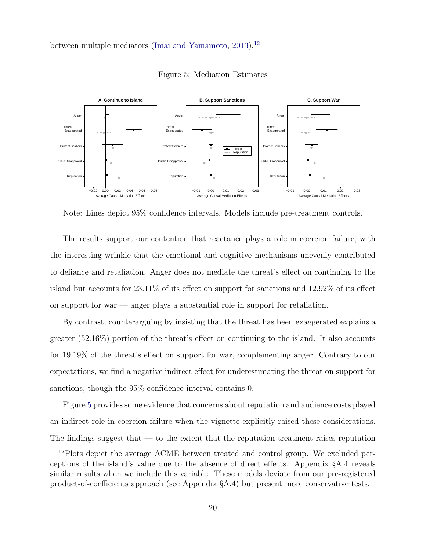<span id="page-20-0"></span>between multiple mediators [\(Imai and Yamamoto,](#page-33-11) [2013\)](#page-33-11).<sup>[12](#page-20-1)</sup>



Figure 5: Mediation Estimates

Note: Lines depict 95% confidence intervals. Models include pre-treatment controls.

The results support our contention that reactance plays a role in coercion failure, with the interesting wrinkle that the emotional and cognitive mechanisms unevenly contributed to defiance and retaliation. Anger does not mediate the threat's effect on continuing to the island but accounts for 23.11% of its effect on support for sanctions and 12.92% of its effect on support for war — anger plays a substantial role in support for retaliation.

By contrast, counterarguing by insisting that the threat has been exaggerated explains a greater (52.16%) portion of the threat's effect on continuing to the island. It also accounts for 19.19% of the threat's effect on support for war, complementing anger. Contrary to our expectations, we find a negative indirect effect for underestimating the threat on support for sanctions, though the 95% confidence interval contains 0.

Figure [5](#page-20-0) provides some evidence that concerns about reputation and audience costs played an indirect role in coercion failure when the vignette explicitly raised these considerations. The findings suggest that  $-$  to the extent that the reputation treatment raises reputation

<span id="page-20-1"></span><sup>&</sup>lt;sup>12</sup>Plots depict the average ACME between treated and control group. We excluded perceptions of the island's value due to the absence of direct effects. Appendix §A.4 reveals similar results when we include this variable. These models deviate from our pre-registered product-of-coefficients approach (see Appendix §A.4) but present more conservative tests.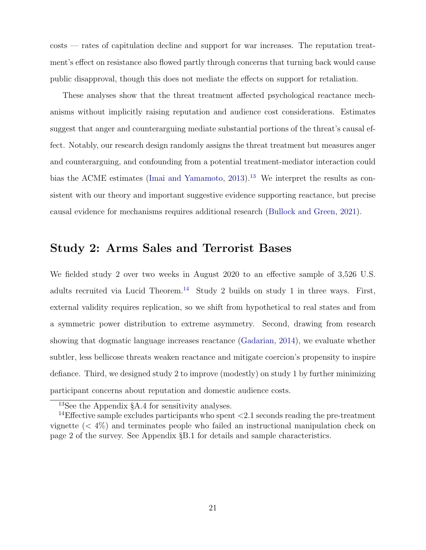costs — rates of capitulation decline and support for war increases. The reputation treatment's effect on resistance also flowed partly through concerns that turning back would cause public disapproval, though this does not mediate the effects on support for retaliation.

These analyses show that the threat treatment affected psychological reactance mechanisms without implicitly raising reputation and audience cost considerations. Estimates suggest that anger and counterarguing mediate substantial portions of the threat's causal effect. Notably, our research design randomly assigns the threat treatment but measures anger and counterarguing, and confounding from a potential treatment-mediator interaction could bias the ACME estimates [\(Imai and Yamamoto,](#page-33-11)  $2013$  $2013$ ).<sup>13</sup> We interpret the results as consistent with our theory and important suggestive evidence supporting reactance, but precise causal evidence for mechanisms requires additional research [\(Bullock and Green,](#page-31-12) [2021\)](#page-31-12).

# Study 2: Arms Sales and Terrorist Bases

We fielded study 2 over two weeks in August 2020 to an effective sample of 3,526 U.S. adults recruited via Lucid Theorem.<sup>[14](#page-21-1)</sup> Study 2 builds on study 1 in three ways. First, external validity requires replication, so we shift from hypothetical to real states and from a symmetric power distribution to extreme asymmetry. Second, drawing from research showing that dogmatic language increases reactance [\(Gadarian,](#page-32-3) [2014\)](#page-32-3), we evaluate whether subtler, less bellicose threats weaken reactance and mitigate coercion's propensity to inspire defiance. Third, we designed study 2 to improve (modestly) on study 1 by further minimizing participant concerns about reputation and domestic audience costs.

<span id="page-21-1"></span><span id="page-21-0"></span><sup>13</sup>See the Appendix §A.4 for sensitivity analyses.

<sup>&</sup>lt;sup>14</sup>Effective sample excludes participants who spent  $\langle 2.1 \rangle$  seconds reading the pre-treatment vignette (< 4%) and terminates people who failed an instructional manipulation check on page 2 of the survey. See Appendix §B.1 for details and sample characteristics.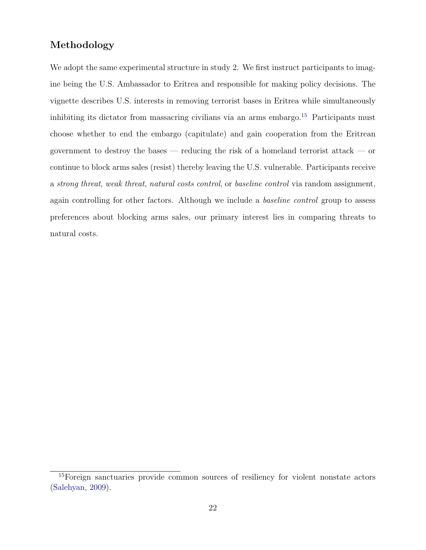## Methodology

We adopt the same experimental structure in study 2. We first instruct participants to imagine being the U.S. Ambassador to Eritrea and responsible for making policy decisions. The vignette describes U.S. interests in removing terrorist bases in Eritrea while simultaneously inhibiting its dictator from massacring civilians via an arms embargo.<sup>[15](#page-22-0)</sup> Participants must choose whether to end the embargo (capitulate) and gain cooperation from the Eritrean government to destroy the bases — reducing the risk of a homeland terrorist attack — or continue to block arms sales (resist) thereby leaving the U.S. vulnerable. Participants receive a strong threat, weak threat, natural costs control, or baseline control via random assignment, again controlling for other factors. Although we include a baseline control group to assess preferences about blocking arms sales, our primary interest lies in comparing threats to natural costs.

<span id="page-22-0"></span><sup>&</sup>lt;sup>15</sup>Foreign sanctuaries provide common sources of resiliency for violent nonstate actors [\(Salehyan,](#page-36-13) [2009\)](#page-36-13).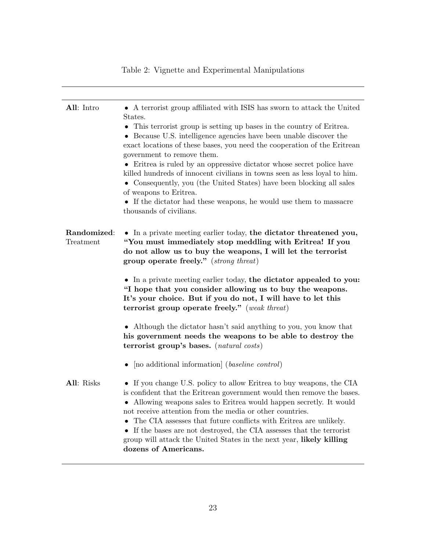# All: Intro • A terrorist group affiliated with ISIS has sworn to attack the United States. • This terrorist group is setting up bases in the country of Eritrea. • Because U.S. intelligence agencies have been unable discover the exact locations of these bases, you need the cooperation of the Eritrean government to remove them. • Eritrea is ruled by an oppressive dictator whose secret police have killed hundreds of innocent civilians in towns seen as less loyal to him. • Consequently, you (the United States) have been blocking all sales of weapons to Eritrea. • If the dictator had these weapons, he would use them to massacre thousands of civilians. Randomized: Treatment • In a private meeting earlier today, the dictator threatened you, "You must immediately stop meddling with Eritrea! If you do not allow us to buy the weapons, I will let the terrorist group operate freely." (strong threat) • In a private meeting earlier today, the dictator appealed to you: "I hope that you consider allowing us to buy the weapons. It's your choice. But if you do not, I will have to let this terrorist group operate freely." (weak threat) • Although the dictator hasn't said anything to you, you know that his government needs the weapons to be able to destroy the terrorist group's bases. (natural costs) • Ino additional information (baseline control) All: Risks • If you change U.S. policy to allow Eritrea to buy weapons, the CIA is confident that the Eritrean government would then remove the bases. • Allowing weapons sales to Eritrea would happen secretly. It would not receive attention from the media or other countries. • The CIA assesses that future conflicts with Eritrea are unlikely. • If the bases are not destroyed, the CIA assesses that the terrorist group will attack the United States in the next year, likely killing dozens of Americans.

### Table 2: Vignette and Experimental Manipulations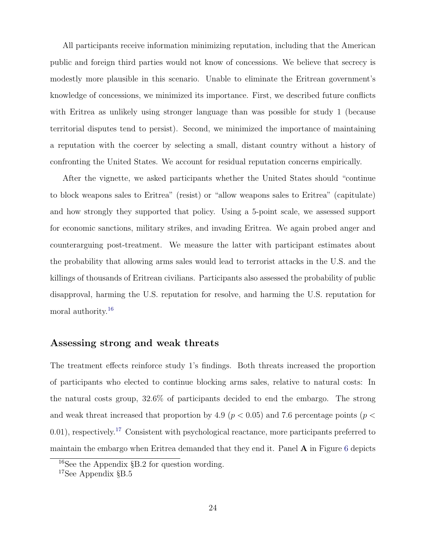All participants receive information minimizing reputation, including that the American public and foreign third parties would not know of concessions. We believe that secrecy is modestly more plausible in this scenario. Unable to eliminate the Eritrean government's knowledge of concessions, we minimized its importance. First, we described future conflicts with Eritrea as unlikely using stronger language than was possible for study 1 (because territorial disputes tend to persist). Second, we minimized the importance of maintaining a reputation with the coercer by selecting a small, distant country without a history of confronting the United States. We account for residual reputation concerns empirically.

After the vignette, we asked participants whether the United States should "continue to block weapons sales to Eritrea" (resist) or "allow weapons sales to Eritrea" (capitulate) and how strongly they supported that policy. Using a 5-point scale, we assessed support for economic sanctions, military strikes, and invading Eritrea. We again probed anger and counterarguing post-treatment. We measure the latter with participant estimates about the probability that allowing arms sales would lead to terrorist attacks in the U.S. and the killings of thousands of Eritrean civilians. Participants also assessed the probability of public disapproval, harming the U.S. reputation for resolve, and harming the U.S. reputation for moral authority.<sup>[16](#page-24-0)</sup>

## Assessing strong and weak threats

The treatment effects reinforce study 1's findings. Both threats increased the proportion of participants who elected to continue blocking arms sales, relative to natural costs: In the natural costs group, 32.6% of participants decided to end the embargo. The strong and weak threat increased that proportion by 4.9 ( $p < 0.05$ ) and 7.6 percentage points ( $p <$  $(0.01)$ , respectively.<sup>[17](#page-24-1)</sup> Consistent with psychological reactance, more participants preferred to maintain the embargo when Eritrea demanded that they end it. Panel  $\bf{A}$  in Figure [6](#page-25-0) depicts

<span id="page-24-0"></span><sup>&</sup>lt;sup>16</sup>See the Appendix §B.2 for question wording.

<span id="page-24-1"></span><sup>17</sup>See Appendix §B.5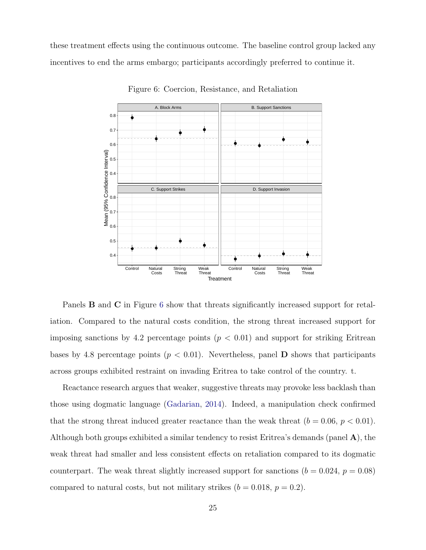<span id="page-25-0"></span>these treatment effects using the continuous outcome. The baseline control group lacked any incentives to end the arms embargo; participants accordingly preferred to continue it.



Figure 6: Coercion, Resistance, and Retaliation

Panels **B** and **C** in Figure [6](#page-25-0) show that threats significantly increased support for retaliation. Compared to the natural costs condition, the strong threat increased support for imposing sanctions by 4.2 percentage points  $(p < 0.01)$  and support for striking Eritrean bases by 4.8 percentage points ( $p < 0.01$ ). Nevertheless, panel **D** shows that participants across groups exhibited restraint on invading Eritrea to take control of the country. t.

Reactance research argues that weaker, suggestive threats may provoke less backlash than those using dogmatic language [\(Gadarian,](#page-32-3) [2014\)](#page-32-3). Indeed, a manipulation check confirmed that the strong threat induced greater reactance than the weak threat  $(b = 0.06, p < 0.01)$ . Although both groups exhibited a similar tendency to resist Eritrea's demands (panel A), the weak threat had smaller and less consistent effects on retaliation compared to its dogmatic counterpart. The weak threat slightly increased support for sanctions  $(b = 0.024, p = 0.08)$ compared to natural costs, but not military strikes  $(b = 0.018, p = 0.2)$ .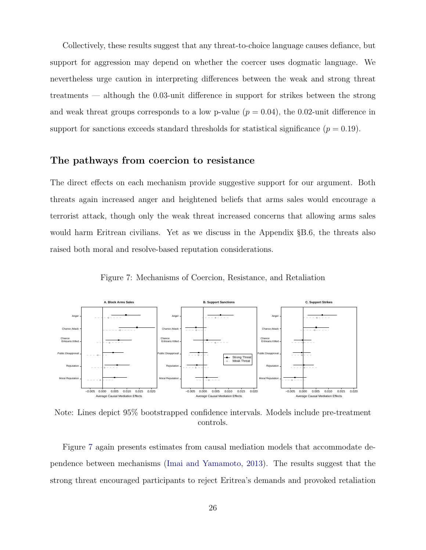Collectively, these results suggest that any threat-to-choice language causes defiance, but support for aggression may depend on whether the coercer uses dogmatic language. We nevertheless urge caution in interpreting differences between the weak and strong threat treatments — although the 0.03-unit difference in support for strikes between the strong and weak threat groups corresponds to a low p-value  $(p = 0.04)$ , the 0.02-unit difference in support for sanctions exceeds standard thresholds for statistical significance  $(p = 0.19)$ .

## The pathways from coercion to resistance

The direct effects on each mechanism provide suggestive support for our argument. Both threats again increased anger and heightened beliefs that arms sales would encourage a terrorist attack, though only the weak threat increased concerns that allowing arms sales would harm Eritrean civilians. Yet as we discuss in the Appendix §B.6, the threats also raised both moral and resolve-based reputation considerations.

Figure 7: Mechanisms of Coercion, Resistance, and Retaliation

<span id="page-26-0"></span>

Note: Lines depict 95% bootstrapped confidence intervals. Models include pre-treatment controls.

Figure [7](#page-26-0) again presents estimates from causal mediation models that accommodate dependence between mechanisms [\(Imai and Yamamoto,](#page-33-11) [2013\)](#page-33-11). The results suggest that the strong threat encouraged participants to reject Eritrea's demands and provoked retaliation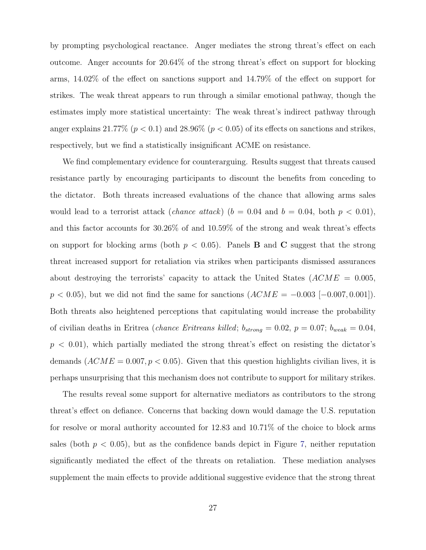by prompting psychological reactance. Anger mediates the strong threat's effect on each outcome. Anger accounts for 20.64% of the strong threat's effect on support for blocking arms, 14.02% of the effect on sanctions support and 14.79% of the effect on support for strikes. The weak threat appears to run through a similar emotional pathway, though the estimates imply more statistical uncertainty: The weak threat's indirect pathway through anger explains 21.77% ( $p < 0.1$ ) and 28.96% ( $p < 0.05$ ) of its effects on sanctions and strikes, respectively, but we find a statistically insignificant ACME on resistance.

We find complementary evidence for counterarguing. Results suggest that threats caused resistance partly by encouraging participants to discount the benefits from conceding to the dictator. Both threats increased evaluations of the chance that allowing arms sales would lead to a terrorist attack (*chance attack*) ( $b = 0.04$  and  $b = 0.04$ , both  $p < 0.01$ ), and this factor accounts for 30.26% of and 10.59% of the strong and weak threat's effects on support for blocking arms (both  $p < 0.05$ ). Panels **B** and **C** suggest that the strong threat increased support for retaliation via strikes when participants dismissed assurances about destroying the terrorists' capacity to attack the United States  $(ACME = 0.005,$  $p < 0.05$ , but we did not find the same for sanctions  $(ACME = -0.003 [-0.007, 0.001])$ . Both threats also heightened perceptions that capitulating would increase the probability of civilian deaths in Eritrea (*chance Eritreans killed*;  $b_{strong} = 0.02$ ,  $p = 0.07$ ;  $b_{weak} = 0.04$ ,  $p < 0.01$ , which partially mediated the strong threat's effect on resisting the dictator's demands  $(ACME = 0.007, p < 0.05)$ . Given that this question highlights civilian lives, it is perhaps unsurprising that this mechanism does not contribute to support for military strikes.

The results reveal some support for alternative mediators as contributors to the strong threat's effect on defiance. Concerns that backing down would damage the U.S. reputation for resolve or moral authority accounted for 12.83 and 10.71% of the choice to block arms sales (both  $p < 0.05$ ), but as the confidence bands depict in Figure [7,](#page-26-0) neither reputation significantly mediated the effect of the threats on retaliation. These mediation analyses supplement the main effects to provide additional suggestive evidence that the strong threat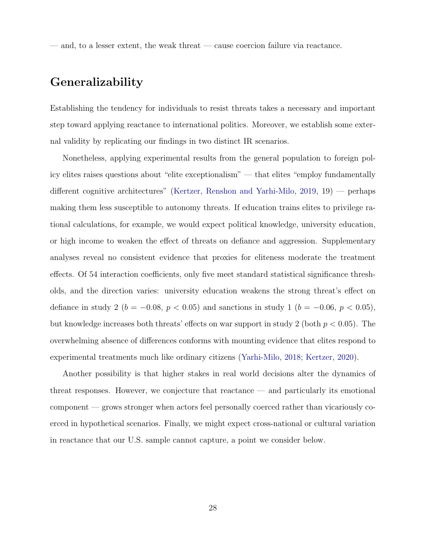— and, to a lesser extent, the weak threat — cause coercion failure via reactance.

# Generalizability

Establishing the tendency for individuals to resist threats takes a necessary and important step toward applying reactance to international politics. Moreover, we establish some external validity by replicating our findings in two distinct IR scenarios.

Nonetheless, applying experimental results from the general population to foreign policy elites raises questions about "elite exceptionalism" — that elites "employ fundamentally different cognitive architectures" [\(Kertzer, Renshon and Yarhi-Milo,](#page-34-13) [2019,](#page-34-13) 19) — perhaps making them less susceptible to autonomy threats. If education trains elites to privilege rational calculations, for example, we would expect political knowledge, university education, or high income to weaken the effect of threats on defiance and aggression. Supplementary analyses reveal no consistent evidence that proxies for eliteness moderate the treatment effects. Of 54 interaction coefficients, only five meet standard statistical significance thresholds, and the direction varies: university education weakens the strong threat's effect on defiance in study 2 ( $b = -0.08, p < 0.05$ ) and sanctions in study 1 ( $b = -0.06, p < 0.05$ ), but knowledge increases both threats' effects on war support in study 2 (both  $p < 0.05$ ). The overwhelming absence of differences conforms with mounting evidence that elites respond to experimental treatments much like ordinary citizens [\(Yarhi-Milo,](#page-37-3) [2018;](#page-37-3) [Kertzer,](#page-33-12) [2020\)](#page-33-12).

Another possibility is that higher stakes in real world decisions alter the dynamics of threat responses. However, we conjecture that reactance — and particularly its emotional component — grows stronger when actors feel personally coerced rather than vicariously coerced in hypothetical scenarios. Finally, we might expect cross-national or cultural variation in reactance that our U.S. sample cannot capture, a point we consider below.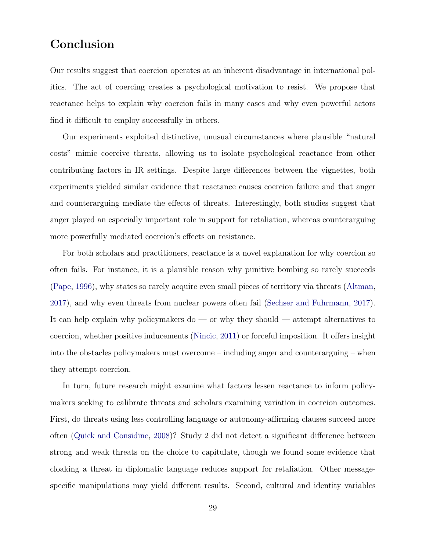# Conclusion

Our results suggest that coercion operates at an inherent disadvantage in international politics. The act of coercing creates a psychological motivation to resist. We propose that reactance helps to explain why coercion fails in many cases and why even powerful actors find it difficult to employ successfully in others.

Our experiments exploited distinctive, unusual circumstances where plausible "natural costs" mimic coercive threats, allowing us to isolate psychological reactance from other contributing factors in IR settings. Despite large differences between the vignettes, both experiments yielded similar evidence that reactance causes coercion failure and that anger and counterarguing mediate the effects of threats. Interestingly, both studies suggest that anger played an especially important role in support for retaliation, whereas counterarguing more powerfully mediated coercion's effects on resistance.

For both scholars and practitioners, reactance is a novel explanation for why coercion so often fails. For instance, it is a plausible reason why punitive bombing so rarely succeeds [\(Pape,](#page-35-4) [1996\)](#page-35-4), why states so rarely acquire even small pieces of territory via threats [\(Altman,](#page-31-4) [2017\)](#page-31-4), and why even threats from nuclear powers often fail [\(Sechser and Fuhrmann,](#page-36-5) [2017\)](#page-36-5). It can help explain why policymakers do — or why they should — attempt alternatives to coercion, whether positive inducements [\(Nincic,](#page-35-13) [2011\)](#page-35-13) or forceful imposition. It offers insight into the obstacles policymakers must overcome – including anger and counterarguing – when they attempt coercion.

In turn, future research might examine what factors lessen reactance to inform policymakers seeking to calibrate threats and scholars examining variation in coercion outcomes. First, do threats using less controlling language or autonomy-affirming clauses succeed more often [\(Quick and Considine,](#page-36-12) [2008\)](#page-36-12)? Study 2 did not detect a significant difference between strong and weak threats on the choice to capitulate, though we found some evidence that cloaking a threat in diplomatic language reduces support for retaliation. Other messagespecific manipulations may yield different results. Second, cultural and identity variables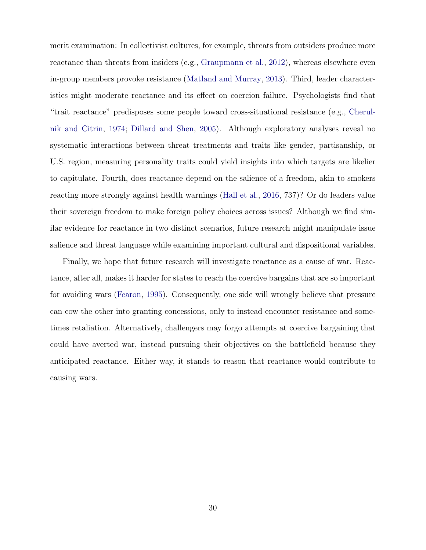merit examination: In collectivist cultures, for example, threats from outsiders produce more reactance than threats from insiders (e.g., [Graupmann et al.,](#page-32-11) [2012\)](#page-32-11), whereas elsewhere even in-group members provoke resistance [\(Matland and Murray,](#page-34-8) [2013\)](#page-34-8). Third, leader characteristics might moderate reactance and its effect on coercion failure. Psychologists find that "trait reactance" predisposes some people toward cross-situational resistance (e.g., [Cherul](#page-32-9)[nik and Citrin,](#page-32-9) [1974;](#page-32-9) [Dillard and Shen,](#page-32-1) [2005\)](#page-32-1). Although exploratory analyses reveal no systematic interactions between threat treatments and traits like gender, partisanship, or U.S. region, measuring personality traits could yield insights into which targets are likelier to capitulate. Fourth, does reactance depend on the salience of a freedom, akin to smokers reacting more strongly against health warnings [\(Hall et al.,](#page-33-8) [2016,](#page-33-8) 737)? Or do leaders value their sovereign freedom to make foreign policy choices across issues? Although we find similar evidence for reactance in two distinct scenarios, future research might manipulate issue salience and threat language while examining important cultural and dispositional variables.

Finally, we hope that future research will investigate reactance as a cause of war. Reactance, after all, makes it harder for states to reach the coercive bargains that are so important for avoiding wars [\(Fearon,](#page-32-12) [1995\)](#page-32-12). Consequently, one side will wrongly believe that pressure can cow the other into granting concessions, only to instead encounter resistance and sometimes retaliation. Alternatively, challengers may forgo attempts at coercive bargaining that could have averted war, instead pursuing their objectives on the battlefield because they anticipated reactance. Either way, it stands to reason that reactance would contribute to causing wars.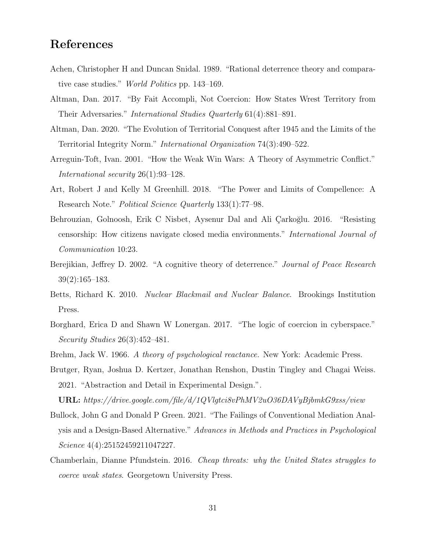# References

- <span id="page-31-3"></span>Achen, Christopher H and Duncan Snidal. 1989. "Rational deterrence theory and comparative case studies." World Politics pp. 143–169.
- <span id="page-31-4"></span>Altman, Dan. 2017. "By Fait Accompli, Not Coercion: How States Wrest Territory from Their Adversaries." International Studies Quarterly 61(4):881–891.
- <span id="page-31-11"></span>Altman, Dan. 2020. "The Evolution of Territorial Conquest after 1945 and the Limits of the Territorial Integrity Norm." International Organization 74(3):490–522.
- <span id="page-31-5"></span>Arreguin-Toft, Ivan. 2001. "How the Weak Win Wars: A Theory of Asymmetric Conflict." International security 26(1):93–128.
- <span id="page-31-0"></span>Art, Robert J and Kelly M Greenhill. 2018. "The Power and Limits of Compellence: A Research Note." Political Science Quarterly 133(1):77–98.
- <span id="page-31-9"></span>Behrouzian, Golnoosh, Erik C Nisbet, Aysenur Dal and Ali Çarkoğlu. 2016. "Resisting censorship: How citizens navigate closed media environments." International Journal of Communication 10:23.
- <span id="page-31-2"></span>Berejikian, Jeffrey D. 2002. "A cognitive theory of deterrence." Journal of Peace Research 39(2):165–183.
- <span id="page-31-7"></span>Betts, Richard K. 2010. Nuclear Blackmail and Nuclear Balance. Brookings Institution Press.
- <span id="page-31-8"></span>Borghard, Erica D and Shawn W Lonergan. 2017. "The logic of coercion in cyberspace." Security Studies 26(3):452–481.
- <span id="page-31-10"></span><span id="page-31-1"></span>Brehm, Jack W. 1966. A theory of psychological reactance. New York: Academic Press.
- Brutger, Ryan, Joshua D. Kertzer, Jonathan Renshon, Dustin Tingley and Chagai Weiss. 2021. "Abstraction and Detail in Experimental Design.".
	- URL: https://drive.google.com/file/d/1QVlgtci8vPhMV2uO36DAVyBjbmkG9xss/view
- <span id="page-31-12"></span>Bullock, John G and Donald P Green. 2021. "The Failings of Conventional Mediation Analysis and a Design-Based Alternative." Advances in Methods and Practices in Psychological Science 4(4):25152459211047227.
- <span id="page-31-6"></span>Chamberlain, Dianne Pfundstein. 2016. Cheap threats: why the United States struggles to coerce weak states. Georgetown University Press.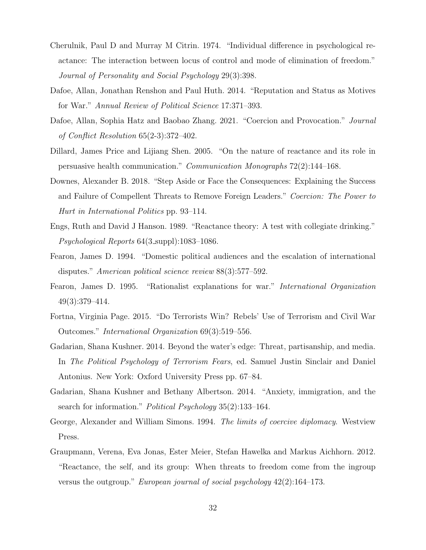- <span id="page-32-9"></span>Cherulnik, Paul D and Murray M Citrin. 1974. "Individual difference in psychological reactance: The interaction between locus of control and mode of elimination of freedom." Journal of Personality and Social Psychology 29(3):398.
- <span id="page-32-8"></span>Dafoe, Allan, Jonathan Renshon and Paul Huth. 2014. "Reputation and Status as Motives for War." Annual Review of Political Science 17:371–393.
- <span id="page-32-0"></span>Dafoe, Allan, Sophia Hatz and Baobao Zhang. 2021. "Coercion and Provocation." Journal of Conflict Resolution 65(2-3):372–402.
- <span id="page-32-1"></span>Dillard, James Price and Lijiang Shen. 2005. "On the nature of reactance and its role in persuasive health communication." Communication Monographs 72(2):144–168.
- <span id="page-32-7"></span>Downes, Alexander B. 2018. "Step Aside or Face the Consequences: Explaining the Success and Failure of Compellent Threats to Remove Foreign Leaders." Coercion: The Power to Hurt in International Politics pp. 93–114.
- <span id="page-32-2"></span>Engs, Ruth and David J Hanson. 1989. "Reactance theory: A test with collegiate drinking." Psychological Reports 64(3 suppl):1083–1086.
- <span id="page-32-5"></span>Fearon, James D. 1994. "Domestic political audiences and the escalation of international disputes." American political science review 88(3):577–592.
- <span id="page-32-12"></span>Fearon, James D. 1995. "Rationalist explanations for war." International Organization 49(3):379–414.
- <span id="page-32-6"></span>Fortna, Virginia Page. 2015. "Do Terrorists Win? Rebels' Use of Terrorism and Civil War Outcomes." International Organization 69(3):519–556.
- <span id="page-32-3"></span>Gadarian, Shana Kushner. 2014. Beyond the water's edge: Threat, partisanship, and media. In The Political Psychology of Terrorism Fears, ed. Samuel Justin Sinclair and Daniel Antonius. New York: Oxford University Press pp. 67–84.
- <span id="page-32-10"></span>Gadarian, Shana Kushner and Bethany Albertson. 2014. "Anxiety, immigration, and the search for information." *Political Psychology* 35(2):133–164.
- <span id="page-32-4"></span>George, Alexander and William Simons. 1994. The limits of coercive diplomacy. Westview Press.
- <span id="page-32-11"></span>Graupmann, Verena, Eva Jonas, Ester Meier, Stefan Hawelka and Markus Aichhorn. 2012. "Reactance, the self, and its group: When threats to freedom come from the ingroup versus the outgroup." *European journal of social psychology*  $42(2):164-173$ .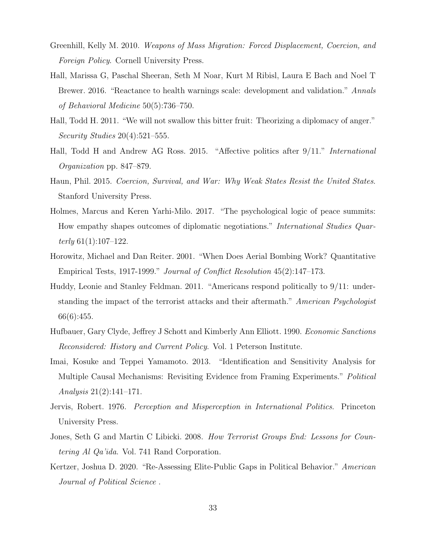- <span id="page-33-4"></span>Greenhill, Kelly M. 2010. Weapons of Mass Migration: Forced Displacement, Coercion, and Foreign Policy. Cornell University Press.
- <span id="page-33-8"></span>Hall, Marissa G, Paschal Sheeran, Seth M Noar, Kurt M Ribisl, Laura E Bach and Noel T Brewer. 2016. "Reactance to health warnings scale: development and validation." Annals of Behavioral Medicine 50(5):736–750.
- <span id="page-33-0"></span>Hall, Todd H. 2011. "We will not swallow this bitter fruit: Theorizing a diplomacy of anger." Security Studies 20(4):521–555.
- <span id="page-33-10"></span>Hall, Todd H and Andrew AG Ross. 2015. "Affective politics after 9/11." International Organization pp. 847–879.
- <span id="page-33-5"></span>Haun, Phil. 2015. Coercion, Survival, and War: Why Weak States Resist the United States. Stanford University Press.
- <span id="page-33-7"></span>Holmes, Marcus and Keren Yarhi-Milo. 2017. "The psychological logic of peace summits: How empathy shapes outcomes of diplomatic negotiations." International Studies Quarterly  $61(1):107-122$ .
- <span id="page-33-1"></span>Horowitz, Michael and Dan Reiter. 2001. "When Does Aerial Bombing Work? Quantitative Empirical Tests, 1917-1999." Journal of Conflict Resolution 45(2):147–173.
- <span id="page-33-9"></span>Huddy, Leonie and Stanley Feldman. 2011. "Americans respond politically to 9/11: understanding the impact of the terrorist attacks and their aftermath." American Psychologist 66(6):455.
- <span id="page-33-3"></span>Hufbauer, Gary Clyde, Jeffrey J Schott and Kimberly Ann Elliott. 1990. Economic Sanctions Reconsidered: History and Current Policy. Vol. 1 Peterson Institute.
- <span id="page-33-11"></span>Imai, Kosuke and Teppei Yamamoto. 2013. "Identification and Sensitivity Analysis for Multiple Causal Mechanisms: Revisiting Evidence from Framing Experiments." Political Analysis 21(2):141–171.
- <span id="page-33-6"></span>Jervis, Robert. 1976. Perception and Misperception in International Politics. Princeton University Press.
- <span id="page-33-2"></span>Jones, Seth G and Martin C Libicki. 2008. How Terrorist Groups End: Lessons for Countering Al Qa'ida. Vol. 741 Rand Corporation.
- <span id="page-33-12"></span>Kertzer, Joshua D. 2020. "Re-Assessing Elite-Public Gaps in Political Behavior." American Journal of Political Science .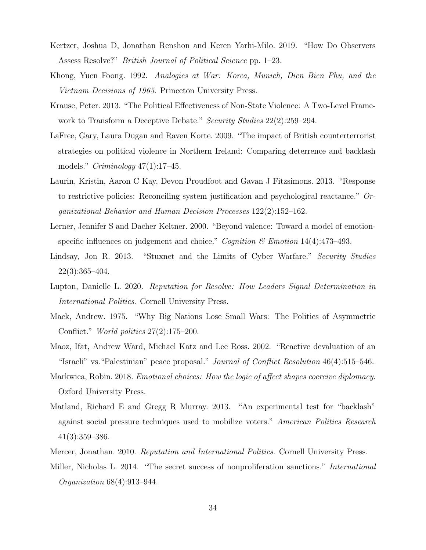- <span id="page-34-13"></span>Kertzer, Joshua D, Jonathan Renshon and Keren Yarhi-Milo. 2019. "How Do Observers Assess Resolve?" British Journal of Political Science pp. 1–23.
- <span id="page-34-3"></span>Khong, Yuen Foong. 1992. Analogies at War: Korea, Munich, Dien Bien Phu, and the Vietnam Decisions of 1965. Princeton University Press.
- <span id="page-34-7"></span>Krause, Peter. 2013. "The Political Effectiveness of Non-State Violence: A Two-Level Framework to Transform a Deceptive Debate." Security Studies 22(2): 259–294.
- <span id="page-34-9"></span>LaFree, Gary, Laura Dugan and Raven Korte. 2009. "The impact of British counterterrorist strategies on political violence in Northern Ireland: Comparing deterrence and backlash models."  $Criminology$  47(1):17–45.
- <span id="page-34-0"></span>Laurin, Kristin, Aaron C Kay, Devon Proudfoot and Gavan J Fitzsimons. 2013. "Response to restrictive policies: Reconciling system justification and psychological reactance." Organizational Behavior and Human Decision Processes 122(2):152–162.
- <span id="page-34-10"></span>Lerner, Jennifer S and Dacher Keltner. 2000. "Beyond valence: Toward a model of emotionspecific influences on judgement and choice." Cognition  $\mathcal C$  Emotion 14(4):473-493.
- <span id="page-34-6"></span>Lindsay, Jon R. 2013. "Stuxnet and the Limits of Cyber Warfare." Security Studies 22(3):365–404.
- <span id="page-34-2"></span>Lupton, Danielle L. 2020. Reputation for Resolve: How Leaders Signal Determination in International Politics. Cornell University Press.
- <span id="page-34-5"></span>Mack, Andrew. 1975. "Why Big Nations Lose Small Wars: The Politics of Asymmetric Conflict." World politics 27(2):175–200.
- <span id="page-34-11"></span>Maoz, Ifat, Andrew Ward, Michael Katz and Lee Ross. 2002. "Reactive devaluation of an "Israeli" vs."Palestinian" peace proposal." Journal of Conflict Resolution 46(4):515–546.
- <span id="page-34-4"></span>Markwica, Robin. 2018. Emotional choices: How the logic of affect shapes coercive diplomacy. Oxford University Press.
- <span id="page-34-8"></span>Matland, Richard E and Gregg R Murray. 2013. "An experimental test for "backlash" against social pressure techniques used to mobilize voters." American Politics Research 41(3):359–386.
- <span id="page-34-12"></span><span id="page-34-1"></span>Mercer, Jonathan. 2010. Reputation and International Politics. Cornell University Press.
- Miller, Nicholas L. 2014. "The secret success of nonproliferation sanctions." International Organization 68(4):913–944.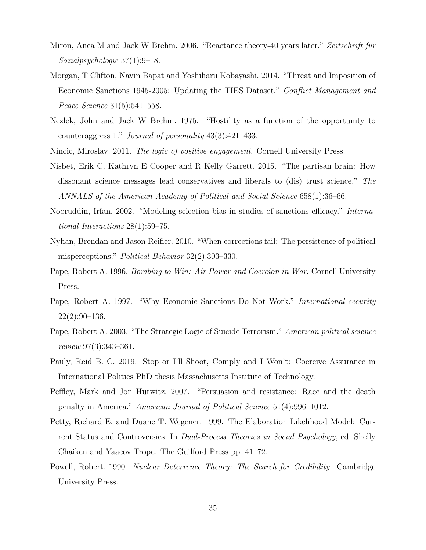- <span id="page-35-0"></span>Miron, Anca M and Jack W Brehm. 2006. "Reactance theory-40 years later." Zeitschrift für Sozialpsychologie 37(1):9–18.
- <span id="page-35-5"></span>Morgan, T Clifton, Navin Bapat and Yoshiharu Kobayashi. 2014. "Threat and Imposition of Economic Sanctions 1945-2005: Updating the TIES Dataset." Conflict Management and Peace Science 31(5):541–558.
- <span id="page-35-12"></span>Nezlek, John and Jack W Brehm. 1975. "Hostility as a function of the opportunity to counteraggress 1." Journal of personality 43(3):421–433.
- <span id="page-35-13"></span><span id="page-35-1"></span>Nincic, Miroslav. 2011. The logic of positive engagement. Cornell University Press.
- Nisbet, Erik C, Kathryn E Cooper and R Kelly Garrett. 2015. "The partisan brain: How dissonant science messages lead conservatives and liberals to (dis) trust science." The ANNALS of the American Academy of Political and Social Science 658(1):36–66.
- <span id="page-35-7"></span>Nooruddin, Irfan. 2002. "Modeling selection bias in studies of sanctions efficacy." International Interactions 28(1):59–75.
- <span id="page-35-3"></span>Nyhan, Brendan and Jason Reifler. 2010. "When corrections fail: The persistence of political misperceptions." Political Behavior 32(2):303–330.
- <span id="page-35-4"></span>Pape, Robert A. 1996. Bombing to Win: Air Power and Coercion in War. Cornell University Press.
- <span id="page-35-6"></span>Pape, Robert A. 1997. "Why Economic Sanctions Do Not Work." *International security*  $22(2):90-136.$
- <span id="page-35-8"></span>Pape, Robert A. 2003. "The Strategic Logic of Suicide Terrorism." American political science review 97(3):343–361.
- <span id="page-35-10"></span>Pauly, Reid B. C. 2019. Stop or I'll Shoot, Comply and I Won't: Coercive Assurance in International Politics PhD thesis Massachusetts Institute of Technology.
- <span id="page-35-2"></span>Peffley, Mark and Jon Hurwitz. 2007. "Persuasion and resistance: Race and the death penalty in America." American Journal of Political Science 51(4):996–1012.
- <span id="page-35-11"></span>Petty, Richard E. and Duane T. Wegener. 1999. The Elaboration Likelihood Model: Current Status and Controversies. In Dual-Process Theories in Social Psychology, ed. Shelly Chaiken and Yaacov Trope. The Guilford Press pp. 41–72.
- <span id="page-35-9"></span>Powell, Robert. 1990. Nuclear Deterrence Theory: The Search for Credibility. Cambridge University Press.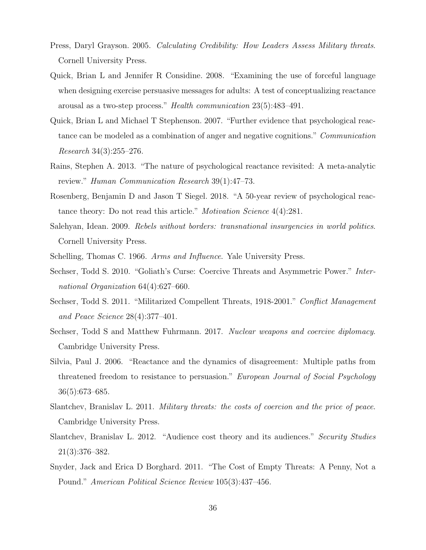- <span id="page-36-7"></span>Press, Daryl Grayson. 2005. Calculating Credibility: How Leaders Assess Military threats. Cornell University Press.
- <span id="page-36-12"></span>Quick, Brian L and Jennifer R Considine. 2008. "Examining the use of forceful language when designing exercise persuasive messages for adults: A test of conceptualizing reactance arousal as a two-step process." Health communication 23(5):483–491.
- <span id="page-36-10"></span>Quick, Brian L and Michael T Stephenson. 2007. "Further evidence that psychological reactance can be modeled as a combination of anger and negative cognitions." Communication Research 34(3):255–276.
- <span id="page-36-11"></span>Rains, Stephen A. 2013. "The nature of psychological reactance revisited: A meta-analytic review." Human Communication Research 39(1):47–73.
- <span id="page-36-0"></span>Rosenberg, Benjamin D and Jason T Siegel. 2018. "A 50-year review of psychological reactance theory: Do not read this article." *Motivation Science* 4(4):281.
- <span id="page-36-13"></span>Salehyan, Idean. 2009. Rebels without borders: transnational insurgencies in world politics. Cornell University Press.
- <span id="page-36-4"></span><span id="page-36-1"></span>Schelling, Thomas C. 1966. Arms and Influence. Yale University Press.
- Sechser, Todd S. 2010. "Goliath's Curse: Coercive Threats and Asymmetric Power." International Organization 64(4):627–660.
- <span id="page-36-3"></span>Sechser, Todd S. 2011. "Militarized Compellent Threats, 1918-2001." Conflict Management and Peace Science 28(4):377–401.
- <span id="page-36-5"></span>Sechser, Todd S and Matthew Fuhrmann. 2017. Nuclear weapons and coercive diplomacy. Cambridge University Press.
- <span id="page-36-9"></span>Silvia, Paul J. 2006. "Reactance and the dynamics of disagreement: Multiple paths from threatened freedom to resistance to persuasion." European Journal of Social Psychology 36(5):673–685.
- <span id="page-36-6"></span>Slantchev, Branislav L. 2011. Military threats: the costs of coercion and the price of peace. Cambridge University Press.
- <span id="page-36-2"></span>Slantchev, Branislav L. 2012. "Audience cost theory and its audiences." Security Studies 21(3):376–382.
- <span id="page-36-8"></span>Snyder, Jack and Erica D Borghard. 2011. "The Cost of Empty Threats: A Penny, Not a Pound." American Political Science Review 105(3):437–456.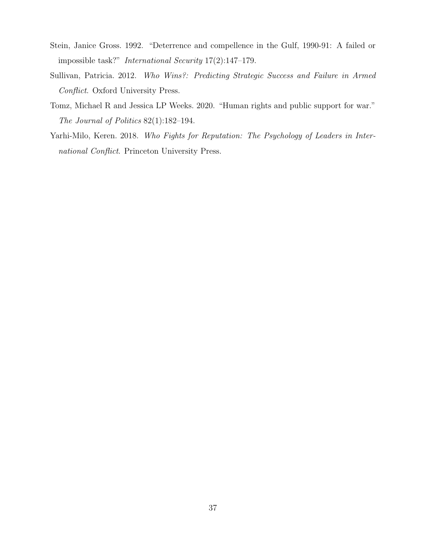- <span id="page-37-1"></span>Stein, Janice Gross. 1992. "Deterrence and compellence in the Gulf, 1990-91: A failed or impossible task?" International Security 17(2):147–179.
- <span id="page-37-0"></span>Sullivan, Patricia. 2012. Who Wins?: Predicting Strategic Success and Failure in Armed Conflict. Oxford University Press.
- <span id="page-37-2"></span>Tomz, Michael R and Jessica LP Weeks. 2020. "Human rights and public support for war." The Journal of Politics 82(1):182–194.
- <span id="page-37-3"></span>Yarhi-Milo, Keren. 2018. Who Fights for Reputation: The Psychology of Leaders in International Conflict. Princeton University Press.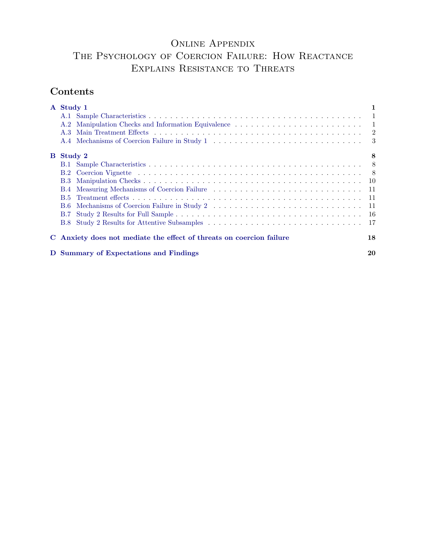# ONLINE APPENDIX The Psychology of Coercion Failure: How Reactance

# Explains Resistance to Threats

# Contents

|          | A Study 1                                                            |      |
|----------|----------------------------------------------------------------------|------|
|          |                                                                      |      |
|          | A.2                                                                  |      |
|          | A.3                                                                  |      |
|          |                                                                      |      |
| $\bf{B}$ | Study 2                                                              | 8    |
|          |                                                                      |      |
|          | B.2                                                                  | - 8  |
|          | <b>B.3</b>                                                           |      |
|          | <b>B.4</b>                                                           | -11  |
|          | <b>B.5</b>                                                           | - 11 |
|          | - B.6                                                                | - 11 |
|          | <b>B.7</b>                                                           |      |
|          | <b>B.8</b>                                                           | 17   |
|          | C Anxiety does not mediate the effect of threats on coercion failure | 18   |
|          | D Summary of Expectations and Findings                               | 20   |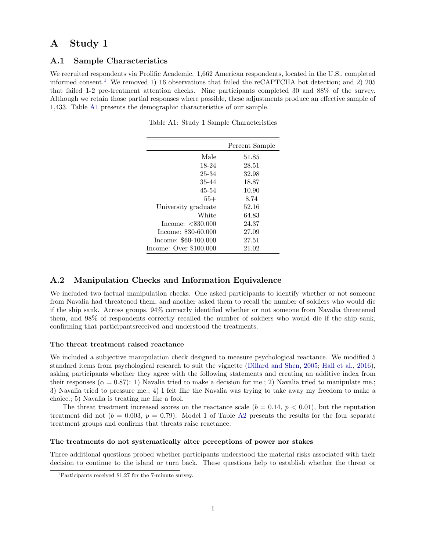## <span id="page-39-0"></span>A Study 1

### <span id="page-39-1"></span>A.1 Sample Characteristics

<span id="page-39-4"></span>We recruited respondents via Prolific Academic. 1,662 American respondents, located in the U.S., completed informed consent.<sup>[1](#page-39-3)</sup> We removed 1) 16 observations that failed the reCAPTCHA bot detection; and 2) 205 that failed 1-2 pre-treatment attention checks. Nine participants completed 30 and 88% of the survey. Although we retain those partial responses where possible, these adjustments produce an effective sample of 1,433. Table [A1](#page-39-4) presents the demographic characteristics of our sample.

|                         | Percent Sample |
|-------------------------|----------------|
| Male                    | 51.85          |
| 18-24                   | 28.51          |
| 25-34                   | 32.98          |
| 35-44                   | 18.87          |
| 45-54                   | 10.90          |
| $55+$                   | 8.74           |
| University graduate     | 52.16          |
| White                   | 64.83          |
| Income: $< $30,000$     | 24.37          |
| Income: $$30-60,000$    | 27.09          |
| Income: $$60-100,000$   | 27.51          |
| Income: Over $$100,000$ | 21.02          |

Table A1: Study 1 Sample Characteristics

### <span id="page-39-2"></span>A.2 Manipulation Checks and Information Equivalence

We included two factual manipulation checks. One asked participants to identify whether or not someone from Navalia had threatened them, and another asked them to recall the number of soldiers who would die if the ship sank. Across groups, 94% correctly identified whether or not someone from Navalia threatened them, and 98% of respondents correctly recalled the number of soldiers who would die if the ship sank, confirming that participantsreceived and understood the treatments.

#### The threat treatment raised reactance

We included a subjective manipulation check designed to measure psychological reactance. We modified 5 standard items from psychological research to suit the vignette [\(Dillard and Shen,](#page-59-0) [2005;](#page-59-0) [Hall et al.,](#page-59-1) [2016\)](#page-59-1), asking participants whether they agree with the following statements and creating an additive index from their responses ( $\alpha = 0.87$ ): 1) Navalia tried to make a decision for me.; 2) Navalia tried to manipulate me.; 3) Navalia tried to pressure me.; 4) I felt like the Navalia was trying to take away my freedom to make a choice.; 5) Navalia is treating me like a fool.

The threat treatment increased scores on the reactance scale  $(b = 0.14, p < 0.01)$ , but the reputation treatment did not  $(b = 0.003, p = 0.79)$ . Model 1 of Table [A2](#page-40-1) presents the results for the four separate treatment groups and confirms that threats raise reactance.

#### The treatments do not systematically alter perceptions of power nor stakes

Three additional questions probed whether participants understood the material risks associated with their decision to continue to the island or turn back. These questions help to establish whether the threat or

<span id="page-39-3"></span><sup>1</sup>Participants received \$1.27 for the 7-minute survey.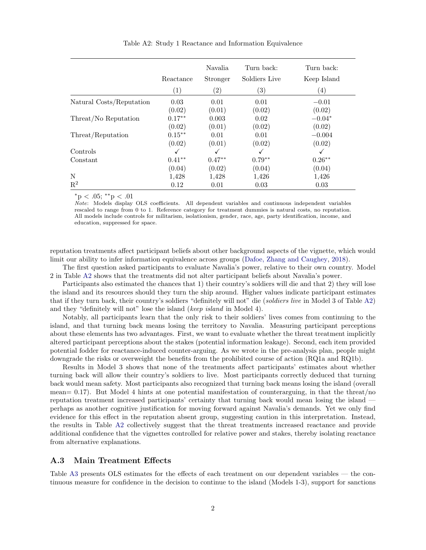<span id="page-40-1"></span>

|                          |                   | Navalia           | Turn back:        | Turn back:        |
|--------------------------|-------------------|-------------------|-------------------|-------------------|
|                          | Reactance         | Stronger          | Soldiers Live     | Keep Island       |
|                          | $\left( 1\right)$ | $\left( 2\right)$ | $\left( 3\right)$ | $\left( 4\right)$ |
| Natural Costs/Reputation | 0.03              | 0.01              | 0.01              | $-0.01$           |
|                          | (0.02)            | (0.01)            | (0.02)            | (0.02)            |
| Threat/No Reputation     | $0.17***$         | 0.003             | 0.02              | $-0.04*$          |
|                          | (0.02)            | (0.01)            | (0.02)            | (0.02)            |
| Threat/Reputation        | $0.15***$         | 0.01              | 0.01              | $-0.004$          |
|                          | (0.02)            | (0.01)            | (0.02)            | (0.02)            |
| Controls                 |                   | ✓                 | √                 | $\checkmark$      |
| Constant                 | $0.41**$          | $0.47**$          | $0.79**$          | $0.26**$          |
|                          | (0.04)            | (0.02)            | (0.04)            | (0.04)            |
| N                        | 1,428             | 1,428             | 1,426             | 1,426             |
| $\mathbf{R}^2$           | 0.12              | 0.01              | 0.03              | 0.03              |

Table A2: Study 1 Reactance and Information Equivalence

 $*_{\text{p}} < .05; **_{\text{p}} < .01$ 

Note: Models display OLS coefficients. All dependent variables and continuous independent variables rescaled to range from 0 to 1. Reference category for treatment dummies is natural costs, no reputation. All models include controls for militarism, isolationism, gender, race, age, party identification, income, and education, suppressed for space.

reputation treatments affect participant beliefs about other background aspects of the vignette, which would limit our ability to infer information equivalence across groups [\(Dafoe, Zhang and Caughey,](#page-59-2) [2018\)](#page-59-2).

The first question asked participants to evaluate Navalia's power, relative to their own country. Model 2 in Table [A2](#page-40-1) shows that the treatments did not alter participant beliefs about Navalia's power.

Participants also estimated the chances that 1) their country's soldiers will die and that 2) they will lose the island and its resources should they turn the ship around. Higher values indicate participant estimates that if they turn back, their country's soldiers "definitely will not" die (soldiers live in Model 3 of Table [A2\)](#page-40-1) and they "definitely will not" lose the island (keep island in Model 4).

Notably, all participants learn that the only risk to their soldiers' lives comes from continuing to the island, and that turning back means losing the territory to Navalia. Measuring participant perceptions about these elements has two advantages. First, we want to evaluate whether the threat treatment implicitly altered participant perceptions about the stakes (potential information leakage). Second, each item provided potential fodder for reactance-induced counter-arguing. As we wrote in the pre-analysis plan, people might downgrade the risks or overweight the benefits from the prohibited course of action (RQ1a and RQ1b).

Results in Model 3 shows that none of the treatments affect participants' estimates about whether turning back will allow their country's soldiers to live. Most participants correctly deduced that turning back would mean safety. Most participants also recognized that turning back means losing the island (overall mean=  $0.17$ ). But Model 4 hints at one potential manifestation of counterarguing, in that the threat/no reputation treatment increased participants' certainty that turning back would mean losing the island perhaps as another cognitive justification for moving forward against Navalia's demands. Yet we only find evidence for this effect in the reputation absent group, suggesting caution in this interpretation. Instead, the results in Table [A2](#page-40-1) collectively suggest that the threat treatments increased reactance and provide additional confidence that the vignettes controlled for relative power and stakes, thereby isolating reactance from alternative explanations.

### <span id="page-40-0"></span>A.3 Main Treatment Effects

Table [A3](#page-41-1) presents OLS estimates for the effects of each treatment on our dependent variables — the continuous measure for confidence in the decision to continue to the island (Models 1-3), support for sanctions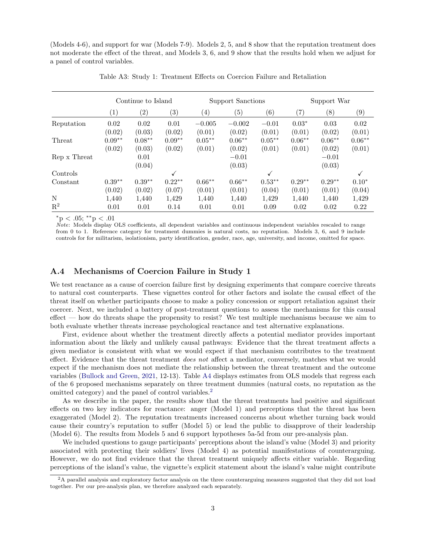(Models 4-6), and support for war (Models 7-9). Models 2, 5, and 8 show that the reputation treatment does not moderate the effect of the threat, and Models 3, 6, and 9 show that the results hold when we adjust for a panel of control variables.

<span id="page-41-1"></span>

|                |                    | Continue to Island |                    |                     | Support Sanctions  |                     |                    | Support War        |                    |
|----------------|--------------------|--------------------|--------------------|---------------------|--------------------|---------------------|--------------------|--------------------|--------------------|
|                | $\left( 1\right)$  | $\left( 2\right)$  | $\left( 3\right)$  | $\left( 4\right)$   | $\left( 5\right)$  | (6)                 | (7)                | (8)                | $\left( 9\right)$  |
| Reputation     | 0.02<br>(0.02)     | 0.02<br>(0.03)     | 0.01<br>(0.02)     | $-0.005$<br>(0.01)  | $-0.002$<br>(0.02) | $-0.01$<br>(0.01)   | $0.03*$<br>(0.01)  | 0.03<br>(0.02)     | 0.02<br>(0.01)     |
| Threat         | $0.09**$<br>(0.02) | $0.08**$<br>(0.03) | $0.09**$<br>(0.02) | $0.05***$<br>(0.01) | $0.06**$<br>(0.02) | $0.05***$<br>(0.01) | $0.06**$<br>(0.01) | $0.06**$<br>(0.02) | $0.06**$<br>(0.01) |
| Rep x Threat   |                    | 0.01<br>(0.04)     |                    |                     | $-0.01$<br>(0.03)  |                     |                    | $-0.01$<br>(0.03)  |                    |
| Controls       |                    |                    | ✓                  |                     |                    | √                   |                    |                    |                    |
| Constant       | $0.39**$<br>(0.02) | $0.39**$<br>(0.02) | $0.22**$<br>(0.07) | $0.66**$<br>(0.01)  | $0.66**$<br>(0.01) | $0.53**$<br>(0.04)  | $0.29**$<br>(0.01) | $0.29**$<br>(0.01) | $0.10*$<br>(0.04)  |
| N              | 1,440              | 1,440              | 1,429              | 1,440               | 1,440              | 1,429               | 1,440              | 1,440              | 1,429              |
| $\mathrm{R}^2$ | 0.01               | 0.01               | 0.14               | 0.01                | 0.01               | 0.09                | 0.02               | 0.02               | 0.22               |

Table A3: Study 1: Treatment Effects on Coercion Failure and Retaliation

<sup>∗</sup>p < .05; ∗∗p < .01

Note: Models display OLS coefficients, all dependent variables and continuous independent variables rescaled to range from 0 to 1. Reference category for treatment dummies is natural costs, no reputation. Models 3, 6, and 9 include controls for for militarism, isolationism, party identification, gender, race, age, university, and income, omitted for space.

### <span id="page-41-0"></span>A.4 Mechanisms of Coercion Failure in Study 1

We test reactance as a cause of coercion failure first by designing experiments that compare coercive threats to natural cost counterparts. These vignettes control for other factors and isolate the causal effect of the threat itself on whether participants choose to make a policy concession or support retaliation against their coercer. Next, we included a battery of post-treatment questions to assess the mechanisms for this causal effect — how do threats shape the propensity to resist? We test multiple mechanisms because we aim to both evaluate whether threats increase psychological reactance and test alternative explanations.

First, evidence about whether the treatment directly affects a potential mediator provides important information about the likely and unlikely causal pathways: Evidence that the threat treatment affects a given mediator is consistent with what we would expect if that mechanism contributes to the treatment effect. Evidence that the threat treatment *does not* affect a mediator, conversely, matches what we would expect if the mechanism does not mediate the relationship between the threat treatment and the outcome variables [\(Bullock and Green,](#page-59-3) [2021,](#page-59-3) 12-13). Table [A4](#page-42-0) displays estimates from OLS models that regress each of the 6 proposed mechanisms separately on three treatment dummies (natural costs, no reputation as the omitted category) and the panel of control variables.<sup>[2](#page-41-2)</sup>

As we describe in the paper, the results show that the threat treatments had positive and significant effects on two key indicators for reactance: anger (Model 1) and perceptions that the threat has been exaggerated (Model 2). The reputation treatments increased concerns about whether turning back would cause their country's reputation to suffer (Model 5) or lead the public to disapprove of their leadership (Model 6). The results from Models 5 and 6 support hypotheses 5a-5d from our pre-analysis plan.

We included questions to gauge participants' perceptions about the island's value (Model 3) and priority associated with protecting their soldiers' lives (Model 4) as potential manifestations of counterarguing. However, we do not find evidence that the threat treatment uniquely affects either variable. Regarding perceptions of the island's value, the vignette's explicit statement about the island's value might contribute

<span id="page-41-2"></span> $2A$  parallel analysis and exploratory factor analysis on the three counterarguing measures suggested that they did not load together. Per our pre-analysis plan, we therefore analyzed each separately.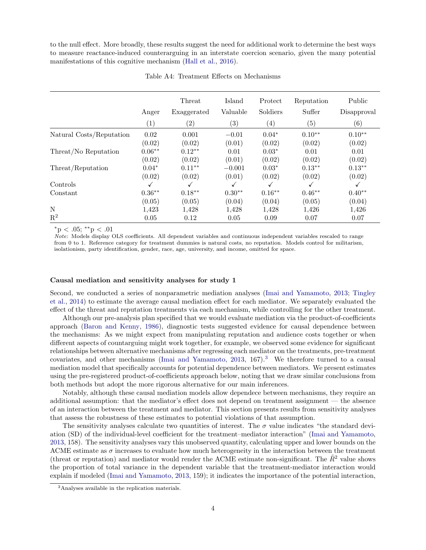to the null effect. More broadly, these results suggest the need for additional work to determine the best ways to measure reactance-induced counterarguing in an interstate coercion scenario, given the many potential manifestations of this cognitive mechanism [\(Hall et al.,](#page-59-1) [2016\)](#page-59-1).

<span id="page-42-0"></span>

|                          |          | Threat      | Island   | Protect           | Reputation        | Public            |
|--------------------------|----------|-------------|----------|-------------------|-------------------|-------------------|
|                          | Anger    | Exaggerated | Valuable | Soldiers          | Suffer            | Disapproval       |
|                          | (1)      | (2)         | (3)      | $\left( 4\right)$ | $\left( 5\right)$ | $\left( 6\right)$ |
| Natural Costs/Reputation | 0.02     | 0.001       | $-0.01$  | $0.04*$           | $0.10**$          | $0.10**$          |
|                          | (0.02)   | (0.02)      | (0.01)   | (0.02)            | (0.02)            | (0.02)            |
| Threat/No Reputation     | $0.06**$ | $0.12**$    | 0.01     | $0.03*$           | 0.01              | 0.01              |
|                          | (0.02)   | (0.02)      | (0.01)   | (0.02)            | (0.02)            | (0.02)            |
| Threat/Reputation        | $0.04*$  | $0.11***$   | $-0.001$ | $0.03*$           | $0.13***$         | $0.13***$         |
|                          | (0.02)   | (0.02)      | (0.01)   | (0.02)            | (0.02)            | (0.02)            |
| Controls                 | ✓        |             |          |                   |                   | √                 |
| Constant                 | $0.36**$ | $0.18***$   | $0.30**$ | $0.16***$         | $0.46**$          | $0.40**$          |
|                          | (0.05)   | (0.05)      | (0.04)   | (0.04)            | (0.05)            | (0.04)            |
| N                        | 1,423    | 1,428       | 1,428    | 1,428             | 1,426             | 1,426             |
| $\mathbf{R}^2$           | 0.05     | 0.12        | 0.05     | 0.09              | 0.07              | 0.07              |

Table A4: Treatment Effects on Mechanisms

\*p < .05; \*\*p < .01

Note: Models display OLS coefficients. All dependent variables and continuous independent variables rescaled to range from 0 to 1. Reference category for treatment dummies is natural costs, no reputation. Models control for militarism, isolationism, party identification, gender, race, age, university, and income, omitted for space.

#### Causal mediation and sensitivity analyses for study 1

Second, we conducted a series of nonparametric mediation analyses [\(Imai and Yamamoto,](#page-59-4) [2013;](#page-59-4) [Tingley](#page-59-5) [et al.,](#page-59-5) [2014\)](#page-59-5) to estimate the average causal mediation effect for each mediator. We separately evaluated the effect of the threat and reputation treatments via each mechanism, while controlling for the other treatment.

Although our pre-analysis plan specified that we would evaluate mediation via the product-of-coefficients approach [\(Baron and Kenny,](#page-59-6) [1986\)](#page-59-6), diagnostic tests suggested evidence for causal dependence between the mechanisms: As we might expect from manipulating reputation and audience costs together or when different aspects of countarguing might work together, for example, we observed some evidence for significant relationships between alternative mechanisms after regressing each mediator on the treatments, pre-treatment covariates, and other mechanisms [\(Imai and Yamamoto,](#page-59-4)  $2013$  $2013$ ,  $167$ ).<sup>3</sup> We therefore turned to a causal mediation model that specifically accounts for potential dependence between mediators. We present estimates using the pre-registered product-of-coefficients approach below, noting that we draw similar conclusions from both methods but adopt the more rigorous alternative for our main inferences.

Notably, although these causal mediation models allow dependece between mechanisms, they require an additional assumption: that the mediator's effect does not depend on treatment assignment — the absence of an interaction between the treatment and mediator. This section presents results from sensitivity analyses that assess the robustness of these estimates to potential violations of that assumption.

The sensitivity analyses calculate two quantities of interest. The  $\sigma$  value indicates "the standard deviation (SD) of the individual-level coefficient for the treatment–mediator interaction" [\(Imai and Yamamoto,](#page-59-4) [2013,](#page-59-4) 158). The sensitivity analyses vary this unobserved quantity, calculating upper and lower bounds on the ACME estimate as  $\sigma$  increases to evaluate how much heterogeneity in the interaction between the treatment (threat or reputation) and mediator would render the ACME estimate non-significant. The  $\tilde{R}^2$  value shows the proportion of total variance in the dependent variable that the treatment-mediator interaction would explain if modeled [\(Imai and Yamamoto,](#page-59-4) [2013,](#page-59-4) 159); it indicates the importance of the potential interaction,

<span id="page-42-1"></span><sup>3</sup>Analyses available in the replication materials.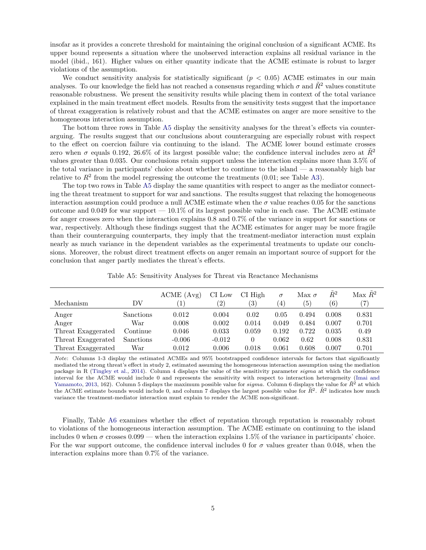insofar as it provides a concrete threshold for maintaining the original conclusion of a significant ACME. Its upper bound represents a situation where the unobserved interaction explains all residual variance in the model (ibid., 161). Higher values on either quantity indicate that the ACME estimate is robust to larger violations of the assumption.

We conduct sensitivity analysis for statistically significant ( $p < 0.05$ ) ACME estimates in our main analyses. To our knowledge the field has not reached a consensus regarding which  $\sigma$  and  $R^2$  values constitute reasonable robustness. We present the sensitivity results while placing them in context of the total variance explained in the main treatment effect models. Results from the sensitivity tests suggest that the importance of threat exaggeration is relatively robust and that the ACME estimates on anger are more sensitive to the homogeneous interaction assumption.

The bottom three rows in Table [A5](#page-43-0) display the sensitivity analyses for the threat's effects via counterarguing. The results suggest that our conclusions about counterarguing are especially robust with respect to the effect on coercion failure via continuing to the island. The ACME lower bound estimate crosses zero when  $\sigma$  equals 0.192, 26.6% of its largest possible value; the confidence interval includes zero at  $\tilde{R}^2$ values greater than 0.035. Our conclusions retain support unless the interaction explains more than 3.5% of the total variance in participants' choice about whether to continue to the island — a reasonably high bar relative to  $R^2$  from the model regressing the outcome the treatments (0.01; see Table [A3\)](#page-41-1).

The top two rows in Table [A5](#page-43-0) display the same quantities with respect to anger as the mediator connecting the threat treatment to support for war and sanctions. The results suggest that relaxing the homogeneous interaction assumption could produce a null ACME estimate when the  $\sigma$  value reaches 0.05 for the sanctions outcome and 0.049 for war support  $-10.1\%$  of its largest possible value in each case. The ACME estimate for anger crosses zero when the interaction explains 0.8 and 0.7% of the variance in support for sanctions or war, respectively. Although these findings suggest that the ACME estimates for anger may be more fragile than their counterarguing counterparts, they imply that the treatment-mediator interaction must explain nearly as much variance in the dependent variables as the experimental treatments to update our conclusions. Moreover, the robust direct treatment effects on anger remain an important source of support for the conclusion that anger partly mediates the threat's effects.

| Table A5: Sensitivity Analyses for Threat via Reactance Mechanisms |  |  |  |  |
|--------------------------------------------------------------------|--|--|--|--|
|--------------------------------------------------------------------|--|--|--|--|

<span id="page-43-0"></span>

| Mechanism          | DV        | ACME (Avg) | CI Low<br>$\left( 2\right)$ | $CI$ High<br>(3) | $\sigma$<br>$\left(4\right)$ | Max $\sigma$<br>$\left(5\right)$ | $\tilde{R}^2$<br>(6) | Max $\tilde{R}^2$ |
|--------------------|-----------|------------|-----------------------------|------------------|------------------------------|----------------------------------|----------------------|-------------------|
| Anger              | Sanctions | 0.012      | 0.004                       | 0.02             | 0.05                         | 0.494                            | 0.008                | 0.831             |
| Anger              | War       | 0.008      | 0.002                       | 0.014            | 0.049                        | 0.484                            | 0.007                | 0.701             |
| Threat Exaggerated | Continue  | 0.046      | 0.033                       | 0.059            | 0.192                        | 0.722                            | 0.035                | 0.49              |
| Threat Exaggerated | Sanctions | $-0.006$   | $-0.012$                    | $^{(1)}$         | 0.062                        | 0.62                             | 0.008                | 0.831             |
| Threat Exaggerated | War       | 0.012      | 0.006                       | 0.018            | 0.061                        | 0.608                            | 0.007                | 0.701             |

Note: Columns 1-3 display the estimated ACMEs and 95% bootstrapped confidence intervals for factors that significantly mediated the strong threat's effect in study 2, estimated assuming the homogeneous interaction assumption using the mediation package in R [\(Tingley et al.,](#page-59-5) [2014\)](#page-59-5). Column 4 displays the value of the sensitivity parameter sigma at which the confidence interval for the ACME would include 0 and represents the sensitivity with respect to interaction heterogeneity [\(Imai and](#page-59-4) [Yamamoto,](#page-59-4) [2013,](#page-59-4) 162). Column 5 displays the maximum possible value for  $sigma$ . Column 6 displays the value for  $\tilde{R}^2$  at which the ACME estimate bounds would include 0, and column 7 displays the largest possible value for  $\tilde{R}^2$ .  $\tilde{R}^2$  indicates how much variance the treatment-mediator interaction must explain to render the ACME non-significant.

Finally, Table [A6](#page-44-0) examines whether the effect of reputation through reputation is reasonably robust to violations of the homogeneous interaction assumption. The ACME estimate on continuing to the island includes 0 when  $\sigma$  crosses 0.099 — when the interaction explains 1.5% of the variance in participants' choice. For the war support outcome, the confidence interval includes 0 for  $\sigma$  values greater than 0.048, when the interaction explains more than 0.7% of the variance.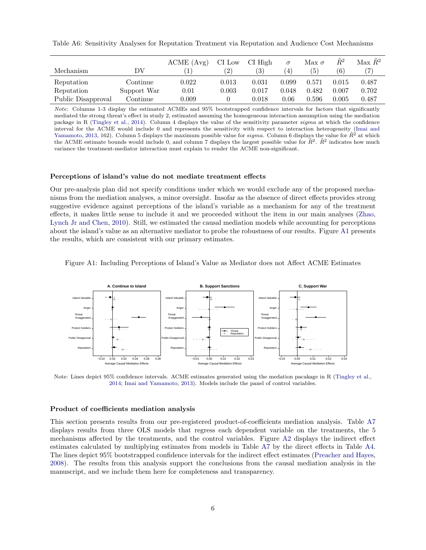<span id="page-44-0"></span>Table A6: Sensitivity Analyses for Reputation Treatment via Reputation and Audience Cost Mechanisms

| Mechanism          | DV                  | ACME (Avg) | CI Low<br>$^{\prime}2)$ | CI High<br>$\left(3\right)$ | $\sigma$<br>$\left( 4\right)$ | Max $\sigma$<br>(5) | $R^2$<br>(6) | Max R <sup>2</sup> |
|--------------------|---------------------|------------|-------------------------|-----------------------------|-------------------------------|---------------------|--------------|--------------------|
| Reputation         | $\mathrm{Continue}$ | 0.022      | 0.013                   | 0.031                       | 0.099                         | 0.571               | 0.015        | 0.487              |
| Reputation         | Support War         | 0.01       | 0.003                   | 0.017                       | 0.048                         | 0.482               | 0.007        | 0.702              |
| Public Disapproval | Continue            | 0.009      |                         | 0.018                       | 0.06                          | 0.596               | 0.005        | 0.487              |

Note: Columns 1-3 display the estimated ACMEs and 95% bootstrapped confidence intervals for factors that significantly mediated the strong threat's effect in study 2, estimated assuming the homogeneous interaction assumption using the mediation package in R [\(Tingley et al.,](#page-59-5) [2014\)](#page-59-5). Column 4 displays the value of the sensitivity parameter sigma at which the confidence interval for the ACME would include 0 and represents the sensitivity with respect to interaction heterogeneity [\(Imai and](#page-59-4) [Yamamoto,](#page-59-4) [2013,](#page-59-4) 162). Column 5 displays the maximum possible value for sigma. Column 6 displays the value for  $R^2$  at which the ACME estimate bounds would include 0, and column 7 displays the largest possible value for  $\tilde{R}^2$ .  $\tilde{R}^2$  indicates how much variance the treatment-mediator interaction must explain to render the ACME non-significant.

#### Perceptions of island's value do not mediate treatment effects

Our pre-analysis plan did not specify conditions under which we would exclude any of the proposed mechanisms from the mediation analyses, a minor oversight. Insofar as the absence of direct effects provides strong suggestive evidence against perceptions of the island's variable as a mechanism for any of the treatment effects, it makes little sense to include it and we proceeded without the item in our main analyses [\(Zhao,](#page-59-7) [Lynch Jr and Chen,](#page-59-7) [2010\)](#page-59-7). Still, we estimated the causal mediation models while accounting for perceptions about the island's value as an alternative mediator to probe the robustness of our results. Figure [A1](#page-44-1) presents the results, which are consistent with our primary estimates.

<span id="page-44-1"></span>Figure A1: Including Perceptions of Island's Value as Mediator does not Affect ACME Estimates



Note: Lines depict 95% confidence intervals. ACME estimates generated using the medation pacakage in R [\(Tingley et al.,](#page-59-5) [2014;](#page-59-5) [Imai and Yamamoto,](#page-59-4) [2013\)](#page-59-4). Models include the panel of control variables.

#### Product of coefficients mediation analysis

This section presents results from our pre-registered product-of-coefficients mediation analysis. Table [A7](#page-45-0) displays results from three OLS models that regress each dependent variable on the treatments, the 5 mechanisms affected by the treatments, and the control variables. Figure [A2](#page-45-1) displays the indirect effect estimates calculated by multiplying estimates from models in Table [A7](#page-45-0) by the direct effects in Table [A4.](#page-42-0) The lines depict 95% bootstrapped confidence intervals for the indirect effect estimates [\(Preacher and Hayes,](#page-59-8) [2008\)](#page-59-8). The results from this analysis support the conclusions from the causal mediation analysis in the manuscript, and we include them here for completeness and transparency.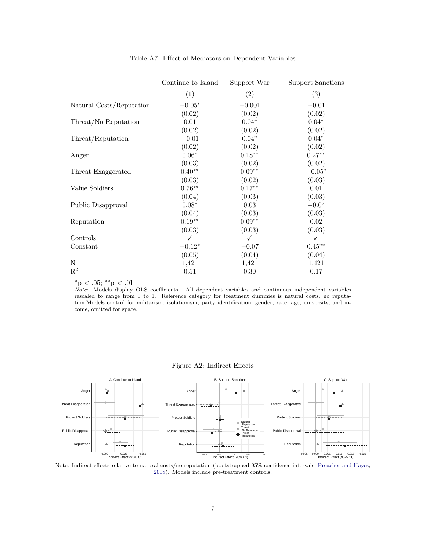<span id="page-45-0"></span>

|                          | Continue to Island | Support War | Support Sanctions |
|--------------------------|--------------------|-------------|-------------------|
|                          | (1)                | (2)         | (3)               |
| Natural Costs/Reputation | $-0.05*$           | $-0.001$    | $-0.01$           |
|                          | (0.02)             | (0.02)      | (0.02)            |
| Threat/No Reputation     | 0.01               | $0.04*$     | $0.04*$           |
|                          | (0.02)             | (0.02)      | (0.02)            |
| Threat/Reputation        | $-0.01$            | $0.04*$     | $0.04*$           |
|                          | (0.02)             | (0.02)      | (0.02)            |
| Anger                    | $0.06*$            | $0.18***$   | $0.27**$          |
|                          | (0.03)             | (0.02)      | (0.02)            |
| Threat Exaggerated       | $0.40**$           | $0.09**$    | $-0.05*$          |
|                          | (0.03)             | (0.02)      | (0.03)            |
| Value Soldiers           | $0.76**$           | $0.17**$    | 0.01              |
|                          | (0.04)             | (0.03)      | (0.03)            |
| Public Disapproval       | $0.08*$            | 0.03        | $-0.04$           |
|                          | (0.04)             | (0.03)      | (0.03)            |
| Reputation               | $0.19**$           | $0.09**$    | 0.02              |
|                          | (0.03)             | (0.03)      | (0.03)            |
| Controls                 | $\checkmark$       | ✓           | ✓                 |
| Constant                 | $-0.12*$           | $-0.07$     | $0.45**$          |
|                          | (0.05)             | (0.04)      | (0.04)            |
| ${\rm N}$                | 1,421              | 1,421       | 1,421             |
| $\mathbf{R}^2$           | 0.51               | 0.30        | 0.17              |

Table A7: Effect of Mediators on Dependent Variables

 $*$ p < .05;  $*$  $*$ p < .01

Note: Models display OLS coefficients. All dependent variables and continuous independent variables rescaled to range from 0 to 1. Reference category for treatment dummies is natural costs, no reputation.Models control for militarism, isolationism, party identification, gender, race, age, university, and income, omitted for space.

### Figure A2: Indirect Effects

<span id="page-45-1"></span>

Note: Indirect effects relative to natural costs/no reputation (bootstrapped 95% confidence intervals; [Preacher and Hayes,](#page-59-8) [2008\)](#page-59-8). Models include pre-treatment controls.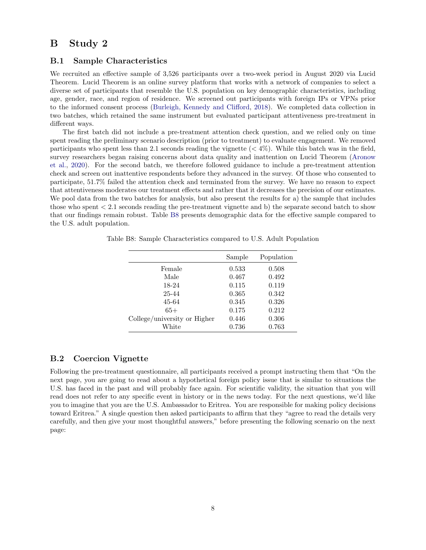## <span id="page-46-0"></span>B Study 2

### <span id="page-46-1"></span>B.1 Sample Characteristics

We recruited an effective sample of 3,526 participants over a two-week period in August 2020 via Lucid Theorem. Lucid Theorem is an online survey platform that works with a network of companies to select a diverse set of participants that resemble the U.S. population on key demographic characteristics, including age, gender, race, and region of residence. We screened out participants with foreign IPs or VPNs prior to the informed consent process [\(Burleigh, Kennedy and Clifford,](#page-59-9) [2018\)](#page-59-9). We completed data collection in two batches, which retained the same instrument but evaluated participant attentiveness pre-treatment in different ways.

The first batch did not include a pre-treatment attention check question, and we relied only on time spent reading the preliminary scenario description (prior to treatment) to evaluate engagement. We removed participants who spent less than 2.1 seconds reading the vignette  $(< 4\%)$ . While this batch was in the field, survey researchers began raising concerns about data quality and inattention on Lucid Theorem [\(Aronow](#page-59-10) [et al.,](#page-59-10) [2020\)](#page-59-10). For the second batch, we therefore followed guidance to include a pre-treatment attention check and screen out inattentive respondents before they advanced in the survey. Of those who consented to participate, 51.7% failed the attention check and terminated from the survey. We have no reason to expect that attentiveness moderates our treatment effects and rather that it decreases the precision of our estimates. We pool data from the two batches for analysis, but also present the results for a) the sample that includes those who spent < 2.1 seconds reading the pre-treatment vignette and b) the separate second batch to show that our findings remain robust. Table [B8](#page-46-3) presents demographic data for the effective sample compared to the U.S. adult population.

| Sample | Population |
|--------|------------|
| 0.533  | 0.508      |
| 0.467  | 0.492      |
| 0.115  | 0.119      |
| 0.365  | 0.342      |
| 0.345  | 0.326      |
| 0.175  | 0.212      |
| 0.446  | 0.306      |
| 0.736  | 0.763      |
|        |            |

<span id="page-46-3"></span>Table B8: Sample Characteristics compared to U.S. Adult Population

### <span id="page-46-2"></span>B.2 Coercion Vignette

Following the pre-treatment questionnaire, all participants received a prompt instructing them that "On the next page, you are going to read about a hypothetical foreign policy issue that is similar to situations the U.S. has faced in the past and will probably face again. For scientific validity, the situation that you will read does not refer to any specific event in history or in the news today. For the next questions, we'd like you to imagine that you are the U.S. Ambassador to Eritrea. You are responsible for making policy decisions toward Eritrea." A single question then asked participants to affirm that they "agree to read the details very carefully, and then give your most thoughtful answers," before presenting the following scenario on the next page: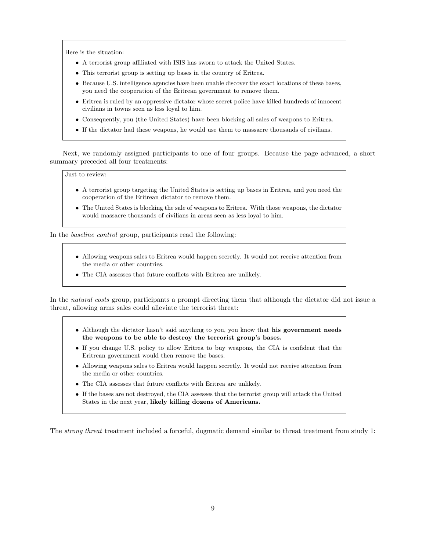Here is the situation:

- A terrorist group affiliated with ISIS has sworn to attack the United States.
- This terrorist group is setting up bases in the country of Eritrea.
- Because U.S. intelligence agencies have been unable discover the exact locations of these bases, you need the cooperation of the Eritrean government to remove them.
- Eritrea is ruled by an oppressive dictator whose secret police have killed hundreds of innocent civilians in towns seen as less loyal to him.
- Consequently, you (the United States) have been blocking all sales of weapons to Eritrea.
- If the dictator had these weapons, he would use them to massacre thousands of civilians.

Next, we randomly assigned participants to one of four groups. Because the page advanced, a short summary preceded all four treatments:

Just to review:

- A terrorist group targeting the United States is setting up bases in Eritrea, and you need the cooperation of the Eritrean dictator to remove them.
- The United States is blocking the sale of weapons to Eritrea. With those weapons, the dictator would massacre thousands of civilians in areas seen as less loyal to him.

In the baseline control group, participants read the following:

- Allowing weapons sales to Eritrea would happen secretly. It would not receive attention from the media or other countries.
- The CIA assesses that future conflicts with Eritrea are unlikely.

In the natural costs group, participants a prompt directing them that although the dictator did not issue a threat, allowing arms sales could alleviate the terrorist threat:

- Although the dictator hasn't said anything to you, you know that his government needs the weapons to be able to destroy the terrorist group's bases.
- If you change U.S. policy to allow Eritrea to buy weapons, the CIA is confident that the Eritrean government would then remove the bases.
- Allowing weapons sales to Eritrea would happen secretly. It would not receive attention from the media or other countries.
- The CIA assesses that future conflicts with Eritrea are unlikely.
- If the bases are not destroyed, the CIA assesses that the terrorist group will attack the United States in the next year, likely killing dozens of Americans.

The strong threat treatment included a forceful, dogmatic demand similar to threat treatment from study 1: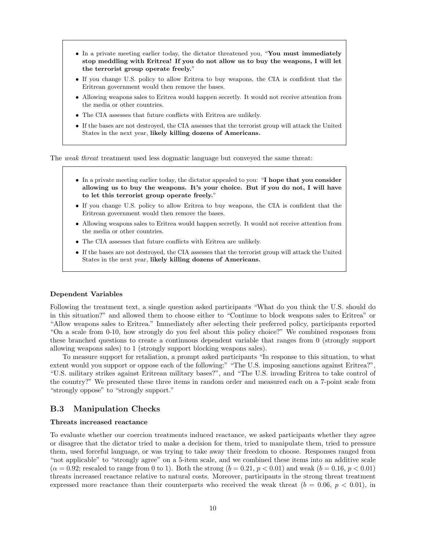- In a private meeting earlier today, the dictator threatened you, "You must immediately stop meddling with Eritrea! If you do not allow us to buy the weapons, I will let the terrorist group operate freely."
- If you change U.S. policy to allow Eritrea to buy weapons, the CIA is confident that the Eritrean government would then remove the bases.
- Allowing weapons sales to Eritrea would happen secretly. It would not receive attention from the media or other countries.
- The CIA assesses that future conflicts with Eritrea are unlikely.
- If the bases are not destroyed, the CIA assesses that the terrorist group will attack the United States in the next year, likely killing dozens of Americans.

The weak threat treatment used less dogmatic language but conveyed the same threat:

- In a private meeting earlier today, the dictator appealed to you: "I hope that you consider allowing us to buy the weapons. It's your choice. But if you do not, I will have to let this terrorist group operate freely."
- If you change U.S. policy to allow Eritrea to buy weapons, the CIA is confident that the Eritrean government would then remove the bases.
- Allowing weapons sales to Eritrea would happen secretly. It would not receive attention from the media or other countries.
- The CIA assesses that future conflicts with Eritrea are unlikely.
- If the bases are not destroyed, the CIA assesses that the terrorist group will attack the United States in the next year, likely killing dozens of Americans.

#### Dependent Variables

Following the treatment text, a single question asked participants "What do you think the U.S. should do in this situation?" and allowed them to choose either to "Continue to block weapons sales to Eritrea" or "Allow weapons sales to Eritrea." Immediately after selecting their preferred policy, participants reported "On a scale from 0-10, how strongly do you feel about this policy choice?" We combined responses from these branched questions to create a continuous dependent variable that ranges from 0 (strongly support allowing weapons sales) to 1 (strongly support blocking weapons sales).

To measure support for retaliation, a prompt asked participants "In response to this situation, to what extent would you support or oppose each of the following:" "The U.S. imposing sanctions against Eritrea?", "U.S. military strikes against Eritrean military bases?", and "The U.S. invading Eritrea to take control of the country?" We presented these three items in random order and measured each on a 7-point scale from "strongly oppose" to "strongly support."

### <span id="page-48-0"></span>B.3 Manipulation Checks

#### Threats increased reactance

To evaluate whether our coercion treatments induced reactance, we asked participants whether they agree or disagree that the dictator tried to make a decision for them, tried to manipulate them, tried to pressure them, used forceful language, or was trying to take away their freedom to choose. Responses ranged from "not applicable" to "strongly agree" on a 5-item scale, and we combined these items into an additive scale  $(\alpha = 0.92;$  rescaled to range from 0 to 1). Both the strong  $(b = 0.21, p < 0.01)$  and weak  $(b = 0.16, p < 0.01)$ threats increased reactance relative to natural costs. Moreover, participants in the strong threat treatment expressed more reactance than their counterparts who received the weak threat  $(b = 0.06, p < 0.01)$ , in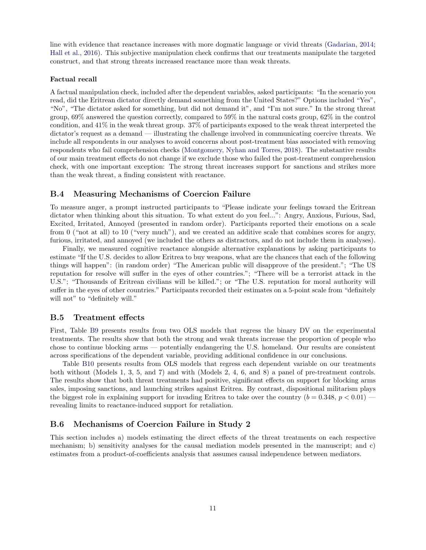line with evidence that reactance increases with more dogmatic language or vivid threats [\(Gadarian,](#page-59-11) [2014;](#page-59-11) [Hall et al.,](#page-59-1) [2016\)](#page-59-1). This subjective manipulation check confirms that our treatments manipulate the targeted construct, and that strong threats increased reactance more than weak threats.

#### Factual recall

A factual manipulation check, included after the dependent variables, asked participants: "In the scenario you read, did the Eritrean dictator directly demand something from the United States?" Options included "Yes", "No", "The dictator asked for something, but did not demand it", and "I'm not sure." In the strong threat group, 69% answered the question correctly, compared to 59% in the natural costs group, 62% in the control condition, and 41% in the weak threat group. 37% of participants exposed to the weak threat interpreted the dictator's request as a demand — illustrating the challenge involved in communicating coercive threats. We include all respondents in our analyses to avoid concerns about post-treatment bias associated with removing respondents who fail comprehension checks [\(Montgomery, Nyhan and Torres,](#page-59-12) [2018\)](#page-59-12). The substantive results of our main treatment effects do not change if we exclude those who failed the post-treatment comprehension check, with one important exception: The strong threat increases support for sanctions and strikes more than the weak threat, a finding consistent with reactance.

### <span id="page-49-0"></span>B.4 Measuring Mechanisms of Coercion Failure

To measure anger, a prompt instructed participants to "Please indicate your feelings toward the Eritrean dictator when thinking about this situation. To what extent do you feel...": Angry, Anxious, Furious, Sad, Excited, Irritated, Annoyed (presented in random order). Participants reported their emotions on a scale from 0 ("not at all) to 10 ("very much"), and we created an additive scale that combines scores for angry, furious, irritated, and annoyed (we included the others as distractors, and do not include them in analyses).

Finally, we measured cognitive reactance alongside alternative explanations by asking participants to estimate "If the U.S. decides to allow Eritrea to buy weapons, what are the chances that each of the following things will happen": (in random order) "The American public will disapprove of the president."; "The US reputation for resolve will suffer in the eyes of other countries."; "There will be a terrorist attack in the U.S."; "Thousands of Eritrean civilians will be killed."; or "The U.S. reputation for moral authority will suffer in the eyes of other countries." Participants recorded their estimates on a 5-point scale from "definitely will not" to "definitely will."

#### <span id="page-49-1"></span>B.5 Treatment effects

First, Table [B9](#page-50-0) presents results from two OLS models that regress the binary DV on the experimental treatments. The results show that both the strong and weak threats increase the proportion of people who chose to continue blocking arms — potentially endangering the U.S. homeland. Our results are consistent across specifications of the dependent variable, providing additional confidence in our conclusions.

Table [B10](#page-50-1) presents results from OLS models that regress each dependent variable on our treatments both without (Models 1, 3, 5, and 7) and with (Models 2, 4, 6, and 8) a panel of pre-treatment controls. The results show that both threat treatments had positive, significant effects on support for blocking arms sales, imposing sanctions, and launching strikes against Eritrea. By contrast, dispositional militarism plays the biggest role in explaining support for invading Eritrea to take over the country  $(b = 0.348, p < 0.01)$ revealing limits to reactance-induced support for retaliation.

### <span id="page-49-2"></span>B.6 Mechanisms of Coercion Failure in Study 2

This section includes a) models estimating the direct effects of the threat treatments on each respective mechanism; b) sensitivity analyses for the causal mediation models presented in the manuscript; and c) estimates from a product-of-coefficients analysis that assumes causal independence between mediators.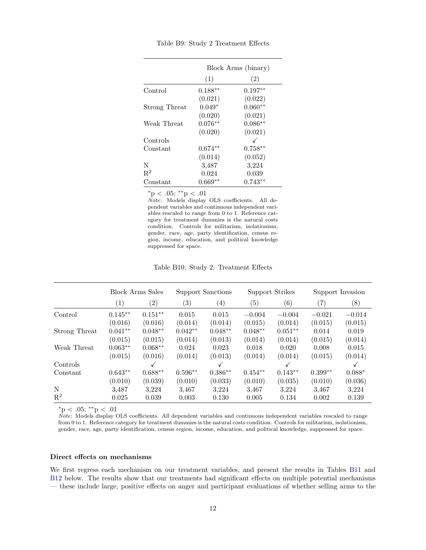<span id="page-50-0"></span>

|               | Block Arms (binary) |           |  |  |  |
|---------------|---------------------|-----------|--|--|--|
|               | (1)                 | (2)       |  |  |  |
| Control       | $0.188**$           | $0.197**$ |  |  |  |
|               | (0.021)             | (0.022)   |  |  |  |
| Strong Threat | $0.049*$            | $0.060**$ |  |  |  |
|               | (0.020)             | (0.021)   |  |  |  |
| Weak Threat   | $0.076**$           | $0.086**$ |  |  |  |
|               | (0.020)             | (0.021)   |  |  |  |
| Controls      |                     |           |  |  |  |
| Constant      | $0.674**$           | $0.758**$ |  |  |  |
|               | (0.014)             | (0.052)   |  |  |  |
| N             | 3,487               | 3,224     |  |  |  |
| $R^2$         | 0.024               | 0.039     |  |  |  |
| Constant      | $0.669**$           | $0.743**$ |  |  |  |

Table B9: Study 2 Treatment Effects

 $*$ p < .05;  $*$  $*$ p < .01

Note: Models display OLS coefficients. All dependent variables and continuous independent variables rescaled to range from 0 to 1. Reference category for treatment dummies is the natural costs condition. Controls for militarism, isolationism, gender, race, age, party identification, census region, income, education, and political knowledge suppressed for space.

Table B10: Study 2: Treatment Effects

<span id="page-50-1"></span>

|                | <b>Block Arms Sales</b> |           | Support Sanctions |                   | Support Strikes |           | Support Invasion  |          |
|----------------|-------------------------|-----------|-------------------|-------------------|-----------------|-----------|-------------------|----------|
|                | (1)                     | (2)       | $\left( 3\right)$ | $\left( 4\right)$ | (5)             | (6)       | $\left( 7\right)$ | (8)      |
| Control        | $0.145**$               | $0.151**$ | 0.015             | 0.015             | $-0.004$        | $-0.004$  | $-0.021$          | $-0.014$ |
|                | (0.016)                 | (0.016)   | (0.014)           | (0.014)           | (0.015)         | (0.014)   | (0.015)           | (0.015)  |
| Strong Threat  | $0.041**$               | $0.048**$ | $0.042**$         | $0.048**$         | $0.048**$       | $0.051**$ | 0.014             | 0.019    |
|                | (0.015)                 | (0.015)   | (0.014)           | (0.013)           | (0.014)         | (0.014)   | (0.015)           | (0.014)  |
| Weak Threat    | $0.063**$               | $0.068**$ | 0.024             | 0.023             | 0.018           | 0.020     | 0.008             | 0.015    |
|                | (0.015)                 | (0.016)   | (0.014)           | (0.013)           | (0.014)         | (0.014)   | (0.015)           | (0.014)  |
| Controls       |                         |           |                   |                   |                 |           |                   |          |
| Constant       | $0.643**$               | $0.688**$ | $0.596**$         | $0.386**$         | $0.454**$       | $0.143**$ | $0.399**$         | $0.088*$ |
|                | (0.010)                 | (0.039)   | (0.010)           | (0.033)           | (0.010)         | (0.035)   | (0.010)           | (0.036)  |
| N              | 3,487                   | 3.224     | 3,467             | 3.224             | 3,467           | 3.224     | 3,467             | 3,224    |
| $\mathrm{R}^2$ | 0.025                   | 0.039     | 0.003             | 0.130             | 0.005           | 0.134     | 0.002             | 0.139    |

 $*$ p < .05;  $*$  $*$ p < .01

 $\dot{Note}$ : Models display OLS coefficients. All dependent variables and continuous independent variables rescaled to range from 0 to 1. Reference category for treatment dummies is the natural costs condition. Controls for militarism, isolationism, gender, race, age, party identification, census region, income, education, and political knowledge, suppressed for space.

#### Direct effects on mechanisms

We first regress each mechanism on our treatment variables, and present the results in Tables [B11](#page-51-0) and [B12](#page-52-0) below. The results show that our treatments had significant effects on multiple potential mechanisms — these include large, positive effects on anger and participant evaluations of whether selling arms to the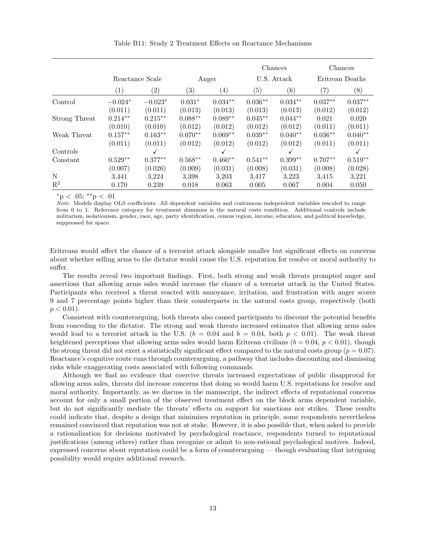<span id="page-51-0"></span>

|                |                 |            |                   | Chances           |                   | Chances   |                 |           |
|----------------|-----------------|------------|-------------------|-------------------|-------------------|-----------|-----------------|-----------|
|                | Reactance Scale |            | Anger             |                   | U.S. Attack       |           | Eritrean Deaths |           |
|                | (1)             | (2)        | $\left( 3\right)$ | $\left( 4\right)$ | $\left( 5\right)$ | (6)       | (7)             | (8)       |
| Control        | $-0.024*$       | $-0.023*$  | $0.031*$          | $0.034**$         | $0.036**$         | $0.034**$ | $0.037**$       | $0.037**$ |
|                | (0.011)         | (0.011)    | (0.013)           | (0.013)           | (0.013)           | (0.013)   | (0.012)         | (0.012)   |
| Strong Threat  | $0.214**$       | $0.215***$ | $0.088**$         | $0.089**$         | $0.045**$         | $0.044**$ | 0.021           | 0.020     |
|                | (0.010)         | (0.010)    | (0.012)           | (0.012)           | (0.012)           | (0.012)   | (0.011)         | (0.011)   |
| Weak Threat    | $0.157**$       | $0.163**$  | $0.070**$         | $0.069**$         | $0.039**$         | $0.040**$ | $0.036**$       | $0.040**$ |
|                | (0.011)         | (0.011)    | (0.012)           | (0.012)           | (0.012)           | (0.012)   | (0.011)         | (0.011)   |
| Controls       |                 | ✓          |                   | ✓                 |                   | ✓         |                 |           |
| Constant       | $0.529**$       | $0.377**$  | $0.568**$         | $0.460**$         | $0.541**$         | $0.399**$ | $0.707**$       | $0.519**$ |
|                | (0.007)         | (0.026)    | (0.009)           | (0.031)           | (0.008)           | (0.031)   | (0.008)         | (0.028)   |
| N              | 3,441           | 3,224      | 3.398             | 3.203             | 3,417             | 3,223     | 3.415           | 3,221     |
| $\mathbf{R}^2$ | 0.170           | 0.239      | 0.018             | 0.063             | 0.005             | 0.067     | 0.004           | 0.050     |

Table B11: Study 2 Treatment Effects on Reactance Mechanisms

 $*_{\text{p}} < .05; **_{\text{p}} < .01$ 

Note: Models display OLS coefficients. All dependent variables and continuous independent variables rescaled to range from 0 to 1. Reference category for treatment dummies is the natural costs condition. Additional controls include militarism, isolationism, gender, race, age, party identification, census region, income, education, and political knowledge, suppressed for space.

Eritreans would affect the chance of a terrorist attack alongside smaller but significant effects on concerns about whether selling arms to the dictator would cause the U.S. reputation for resolve or moral authority to suffer.

The results reveal two important findings. First, both strong and weak threats prompted anger and assertions that allowing arms sales would increase the chance of a terrorist attack in the United States. Participants who received a threat reacted with annoyance, irritation, and frustration with anger scores 9 and 7 percentage points higher than their counterparts in the natural costs group, respectively (both  $p < 0.01$ ).

Consistent with counterarguing, both threats also caused participants to discount the potential benefits from conceding to the dictator. The strong and weak threats increased estimates that allowing arms sales would lead to a terrorist attack in the U.S. ( $b = 0.04$  and  $b = 0.04$ , both  $p < 0.01$ ). The weak threat heightened perceptions that allowing arms sales would harm Eritrean civilians  $(b = 0.04, p < 0.01)$ , though the strong threat did not exert a statistically significant effect compared to the natural costs group ( $p = 0.07$ ). Reactance's cognitive route runs through counterarguing, a pathway that includes discounting and dismissing risks while exaggerating costs associated with following commands.

Although we find no evidence that coercive threats increased expectations of public disapproval for allowing arms sales, threats did increase concerns that doing so would harm U.S. reputations for resolve and moral authority. Importantly, as we discuss in the manuscript, the indirect effects of reputational concerns account for only a small portion of the observed treatment effect on the block arms dependent variable, but do not significantly mediate the threats' effects on support for sanctions nor strikes. These results could indicate that, despite a design that minimizes reputation in principle, some respondents nevertheless remained convinced that reputation was not at stake. However, it is also possible that, when asked to provide a rationalization for decisions motivated by psychological reactance, respondents turned to reputational justifications (among others) rather than recognize or admit to non-rational psychological motives. Indeed, expressed concerns about reputation could be a form of counterarguing — though evaluating that intriguing possibility would require additional research.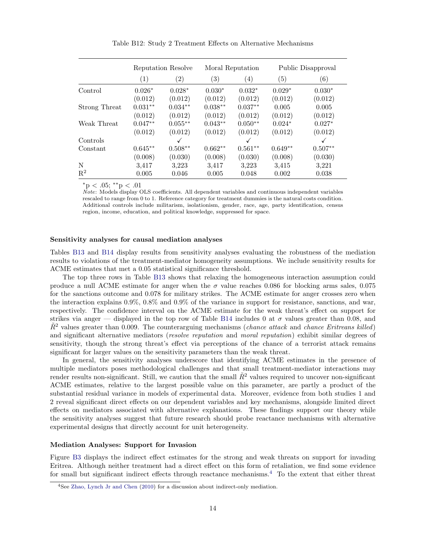<span id="page-52-0"></span>

|                | Reputation Resolve |                   |                   | Moral Reputation  | Public Disapproval |                   |  |
|----------------|--------------------|-------------------|-------------------|-------------------|--------------------|-------------------|--|
|                | (1)                | $\left( 2\right)$ | $\left( 3\right)$ | $\left( 4\right)$ | (5)                | $\left( 6\right)$ |  |
| Control        | $0.026*$           | $0.028*$          | $0.030*$          | $0.032*$          | $0.029*$           | $0.030*$          |  |
|                | (0.012)            | (0.012)           | (0.012)           | (0.012)           | (0.012)            | (0.012)           |  |
| Strong Threat  | $0.031**$          | $0.034**$         | $0.038**$         | $0.037**$         | 0.005              | 0.005             |  |
|                | (0.012)            | (0.012)           | (0.012)           | (0.012)           | (0.012)            | (0.012)           |  |
| Weak Threat    | $0.047**$          | $0.055**$         | $0.043**$         | $0.050**$         | $0.024*$           | $0.027*$          |  |
|                | (0.012)            | (0.012)           | (0.012)           | (0.012)           | (0.012)            | (0.012)           |  |
| Controls       |                    | ✓                 |                   | ✓                 |                    | ✓                 |  |
| Constant       | $0.645**$          | $0.508**$         | $0.662**$         | $0.561**$         | $0.649**$          | $0.507**$         |  |
|                | (0.008)            | (0.030)           | (0.008)           | (0.030)           | (0.008)            | (0.030)           |  |
| N              | 3,417              | 3,223             | 3,417             | 3,223             | 3.415              | 3,221             |  |
| $\mathbf{R}^2$ | 0.005              | 0.046             | 0.005             | 0.048             | 0.002              | 0.038             |  |

Table B12: Study 2 Treatment Effects on Alternative Mechanisms

 $*$ p < .05;  $*$  $*$ p < .01

 $\bar{Note}$ : Models display OLS coefficients. All dependent variables and continuous independent variables rescaled to range from 0 to 1. Reference category for treatment dummies is the natural costs condition. Additional controls include militarism, isolationism, gender, race, age, party identification, census region, income, education, and political knowledge, suppressed for space.

#### Sensitivity analyses for causal mediation analyses

Tables [B13](#page-53-0) and [B14](#page-53-1) display results from sensitivity analyses evaluating the robustness of the mediation results to violations of the treatment-mediator homogeneity assumptions. We include sensitivity results for ACME estimates that met a 0.05 statistical significance threshold.

The top three rows in Table [B13](#page-53-0) shows that relaxing the homogeneous interaction assumption could produce a null ACME estimate for anger when the  $\sigma$  value reaches 0.086 for blocking arms sales, 0.075 for the sanctions outcome and 0.078 for military strikes. The ACME estimate for anger crosses zero when the interaction explains 0.9%, 0.8% and 0.9% of the variance in support for resistance, sanctions, and war, respectively. The confidence interval on the ACME estimate for the weak threat's effect on support for strikes via anger — displayed in the top row of Table [B14](#page-53-1) includes 0 at  $\sigma$  values greater than 0.08, and  $\tilde{R}^2$  values greater than 0.009. The counterarguing mechanisms (*chance attack* and *chance Eritreans killed*) and significant alternative mediators (*resolve reputation* and *moral reputation*) exhibit similar degrees of sensitivity, though the strong threat's effect via perceptions of the chance of a terrorist attack remains significant for larger values on the sensitivity parameters than the weak threat.

In general, the sensitivity analyses underscore that identifying ACME estimates in the presence of multiple mediators poses methodological challenges and that small treatment-mediator interactions may render results non-significant. Still, we caution that the small  $\tilde{R}^2$  values required to uncover non-significant ACME estimates, relative to the largest possible value on this parameter, are partly a product of the substantial residual variance in models of experimental data. Moreover, evidence from both studies 1 and 2 reveal significant direct effects on our dependent variables and key mechanisms, alongside limited direct effects on mediators associated with alternative explanations. These findings support our theory while the sensitivity analyses suggest that future research should probe reactance mechanisms with alternative experimental designs that directly account for unit heterogeneity.

#### Mediation Analyses: Support for Invasion

Figure [B3](#page-54-1) displays the indirect effect estimates for the strong and weak threats on support for invading Eritrea. Although neither treatment had a direct effect on this form of retaliation, we find some evidence for small but significant indirect effects through reactance mechanisms.[4](#page-52-1) To the extent that either threat

<span id="page-52-1"></span><sup>4</sup>See [Zhao, Lynch Jr and Chen](#page-59-7) [\(2010\)](#page-59-7) for a discussion about indirect-only mediation.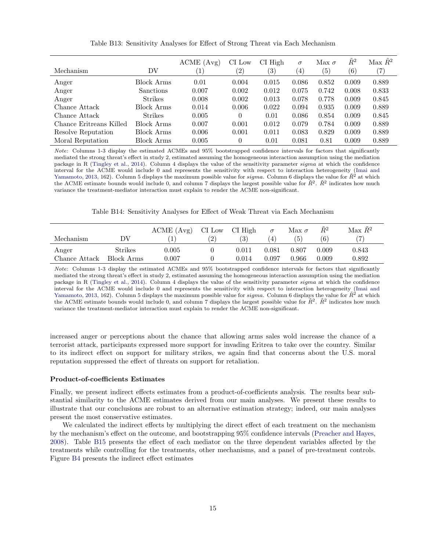<span id="page-53-0"></span>

| Mechanism               | DV               | ACME (Avg)<br>$\left(1\right)$ | CI Low<br>$\left( 2\right)$ | CI High<br>$\left( 3\right)$ | $\sigma$<br>$\left( 4\right)$ | Max $\sigma$<br>(5) | $\tilde{R}^2$<br>$\left( 6\right)$ | Max $\tilde{R}^2$<br>(7) |
|-------------------------|------------------|--------------------------------|-----------------------------|------------------------------|-------------------------------|---------------------|------------------------------------|--------------------------|
| Anger                   | Block Arms       | 0.01                           | 0.004                       | 0.015                        | 0.086                         | 0.852               | 0.009                              | 0.889                    |
| Anger                   | <b>Sanctions</b> | 0.007                          | 0.002                       | 0.012                        | 0.075                         | 0.742               | 0.008                              | 0.833                    |
| Anger                   | <b>Strikes</b>   | 0.008                          | 0.002                       | 0.013                        | 0.078                         | 0.778               | 0.009                              | 0.845                    |
| Chance Attack           | Block Arms       | 0.014                          | 0.006                       | 0.022                        | 0.094                         | 0.935               | 0.009                              | 0.889                    |
| Chance Attack           | <b>Strikes</b>   | 0.005                          | 0                           | 0.01                         | 0.086                         | 0.854               | 0.009                              | 0.845                    |
| Chance Eritreans Killed | Block Arms       | 0.007                          | 0.001                       | 0.012                        | 0.079                         | 0.784               | 0.009                              | 0.889                    |
| Resolve Reputation      | Block Arms       | 0.006                          | 0.001                       | 0.011                        | 0.083                         | 0.829               | 0.009                              | 0.889                    |
| Moral Reputation        | Block Arms       | 0.005                          | 0                           | 0.01                         | 0.081                         | 0.81                | 0.009                              | 0.889                    |

Table B13: Sensitivity Analyses for Effect of Strong Threat via Each Mechanism

Note: Columns 1-3 display the estimated ACMEs and 95% bootstrapped confidence intervals for factors that significantly mediated the strong threat's effect in study 2, estimated assuming the homogeneous interaction assumption using the mediation package in R [\(Tingley et al.,](#page-59-5) [2014\)](#page-59-5). Column 4 displays the value of the sensitivity parameter sigma at which the confidence interval for the ACME would include 0 and represents the sensitivity with respect to interaction heterogeneity [\(Imai and](#page-59-4) [Yamamoto,](#page-59-4) [2013,](#page-59-4) 162). Column 5 displays the maximum possible value for sigma. Column 6 displays the value for  $\tilde{R}^2$  at which the ACME estimate bounds would include 0, and column 7 displays the largest possible value for  $\tilde{R}^2$ .  $\tilde{R}^2$  indicates how much variance the treatment-mediator interaction must explain to render the ACME non-significant.

Table B14: Sensitivity Analyses for Effect of Weak Threat via Each Mechanism

<span id="page-53-1"></span>

|               |                | ACME (Avg) | CI Low | CI High | $\sigma$       | Max $\sigma$ | $\tilde{R}^2$ | Max $\tilde{R}^2$ |
|---------------|----------------|------------|--------|---------|----------------|--------------|---------------|-------------------|
| Mechanism     | DV             |            | (2)    | (3)     | $\overline{4}$ | 5            | (6)           |                   |
| Anger         | <b>Strikes</b> | $0.005\,$  |        | 0.011   | 0.081          | 0.807        | 0.009         | 0.843             |
| Chance Attack | Block Arms     | 0.007      |        | 0.014   | 0.097          | 0.966        | 0.009         | 0.892             |

Note: Columns 1-3 display the estimated ACMEs and 95% bootstrapped confidence intervals for factors that significantly mediated the strong threat's effect in study 2, estimated assuming the homogeneous interaction assumption using the mediation package in R [\(Tingley et al.,](#page-59-5) [2014\)](#page-59-5). Column 4 displays the value of the sensitivity parameter sigma at which the confidence interval for the ACME would include 0 and represents the sensitivity with respect to interaction heterogeneity [\(Imai and](#page-59-4) [Yamamoto,](#page-59-4) [2013,](#page-59-4) 162). Column 5 displays the maximum possible value for sigma. Column 6 displays the value for  $\mathbb{R}^2$  at which the ACME estimate bounds would include 0, and column 7 displays the largest possible value for  $\tilde{R}^2$ .  $\tilde{R}^2$  indicates how much variance the treatment-mediator interaction must explain to render the ACME non-significant.

increased anger or perceptions about the chance that allowing arms sales wold increase the chance of a terrorist attack, participants expressed more support for invading Eritrea to take over the country. Similar to its indirect effect on support for military strikes, we again find that concerns about the U.S. moral reputation suppressed the effect of threats on support for retaliation.

#### Product-of-coefficients Estimates

Finally, we present indirect effects estimates from a product-of-coefficients analysis. The results bear substantial similarity to the ACME estimates derived from our main analyses. We present these results to illustrate that our conclusions are robust to an alternative estimation strategy; indeed, our main analyses present the most conservative estimates.

We calculated the indirect effects by multiplying the direct effect of each treatment on the mechanism by the mechanism's effect on the outcome, and bootstrapping 95% confidence intervals [\(Preacher and Hayes,](#page-59-8) [2008\)](#page-59-8). Table [B15](#page-55-1) presents the effect of each mediator on the three dependent variables affected by the treatments while controlling for the treatments, other mechanisms, and a panel of pre-treatment controls. Figure [B4](#page-54-2) presents the indirect effect estimates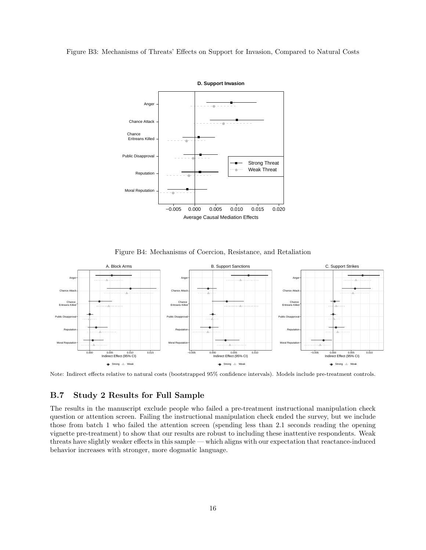#### <span id="page-54-1"></span>Figure B3: Mechanisms of Threats' Effects on Support for Invasion, Compared to Natural Costs



Figure B4: Mechanisms of Coercion, Resistance, and Retaliation

<span id="page-54-2"></span>

Note: Indirect effects relative to natural costs (bootstrapped 95% confidence intervals). Models include pre-treatment controls.

### <span id="page-54-0"></span>B.7 Study 2 Results for Full Sample

The results in the manuscript exclude people who failed a pre-treatment instructional manipulation check question or attention screen. Failing the instructional manipulation check ended the survey, but we include those from batch 1 who failed the attention screen (spending less than 2.1 seconds reading the opening vignette pre-treatment) to show that our results are robust to including these inattentive respondents. Weak threats have slightly weaker effects in this sample — which aligns with our expectation that reactance-induced behavior increases with stronger, more dogmatic language.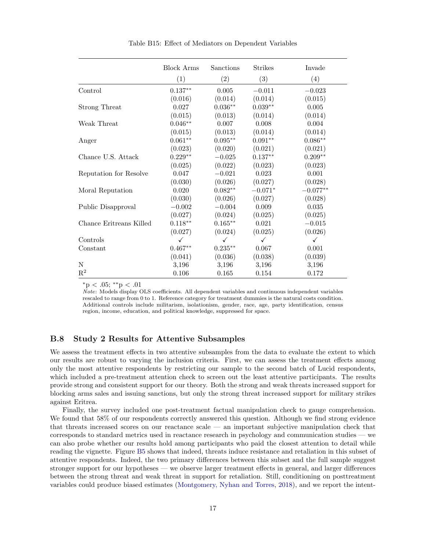<span id="page-55-1"></span>

|                         | <b>Block Arms</b> | Sanctions          | <b>Strikes</b> | Invade       |
|-------------------------|-------------------|--------------------|----------------|--------------|
|                         | (1)               | (2)                | (3)            | (4)          |
| Control                 | $0.137**$         | 0.005              | $-0.011$       | $-0.023$     |
|                         | (0.016)           | (0.014)            | (0.014)        | (0.015)      |
| Strong Threat           | 0.027             | $0.036**$          | $0.039**$      | 0.005        |
|                         | (0.015)           | (0.013)            | (0.014)        | (0.014)      |
| Weak Threat             | $0.046**$         | 0.007              | $0.008\,$      | $0.004\,$    |
|                         | (0.015)           | (0.013)            | (0.014)        | (0.014)      |
| Anger                   | $0.061**$         | $0.095^{\ast\ast}$ | $0.091**$      | $0.086**$    |
|                         | (0.023)           | (0.020)            | (0.021)        | (0.021)      |
| Chance U.S. Attack      | $0.229**$         | $-0.025\,$         | $0.137**$      | $0.209**$    |
|                         | (0.025)           | (0.022)            | (0.023)        | (0.023)      |
| Reputation for Resolve  | 0.047             | $-0.021$           | 0.023          | 0.001        |
|                         | (0.030)           | (0.026)            | (0.027)        | (0.028)      |
| Moral Reputation        | 0.020             | $0.082**$          | $-0.071*$      | $-0.077**$   |
|                         | (0.030)           | (0.026)            | (0.027)        | (0.028)      |
| Public Disapproval      | $-0.002$          | $-0.004$           | 0.009          | 0.035        |
|                         | (0.027)           | (0.024)            | (0.025)        | (0.025)      |
| Chance Eritreans Killed | $0.118**$         | $0.165***$         | 0.021          | $-0.015$     |
|                         | (0.027)           | (0.024)            | (0.025)        | (0.026)      |
| Controls                | ✓                 | $\checkmark$       | $\checkmark$   | $\checkmark$ |
| Constant                | $0.467**$         | $0.235**$          | 0.067          | 0.001        |
|                         | (0.041)           | (0.036)            | (0.038)        | (0.039)      |
| N                       | 3,196             | 3,196              | 3,196          | 3,196        |
| $\mathbf{R}^2$          | 0.106             | 0.165              | 0.154          | 0.172        |

Table B15: Effect of Mediators on Dependent Variables

<sup>∗</sup>p < .05; ∗∗p < .01

 $Note: Models display OLS coefficients.$  All dependent variables and continuous independent variables rescaled to range from 0 to 1. Reference category for treatment dummies is the natural costs condition. Additional controls include militarism, isolationism, gender, race, age, party identification, census region, income, education, and political knowledge, suppressed for space.

### <span id="page-55-0"></span>B.8 Study 2 Results for Attentive Subsamples

We assess the treatment effects in two attentive subsamples from the data to evaluate the extent to which our results are robust to varying the inclusion criteria. First, we can assess the treatment effects among only the most attentive respondents by restricting our sample to the second batch of Lucid respondents, which included a pre-treatment attention check to screen out the least attentive participants. The results provide strong and consistent support for our theory. Both the strong and weak threats increased support for blocking arms sales and issuing sanctions, but only the strong threat increased support for military strikes against Eritrea.

Finally, the survey included one post-treatment factual manipulation check to gauge comprehension. We found that  $58\%$  of our respondents correctly answered this question. Although we find strong evidence that threats increased scores on our reactance scale — an important subjective manipulation check that corresponds to standard metrics used in reactance research in psychology and communication studies — we can also probe whether our results hold among participants who paid the closest attention to detail while reading the vignette. Figure [B5](#page-57-0) shows that indeed, threats induce resistance and retaliation in this subset of attentive respondents. Indeed, the two primary differences between this subset and the full sample suggest stronger support for our hypotheses — we observe larger treatment effects in general, and larger differences between the strong threat and weak threat in support for retaliation. Still, conditioning on posttreatment variables could produce biased estimates [\(Montgomery, Nyhan and Torres,](#page-59-12) [2018\)](#page-59-12), and we report the intent-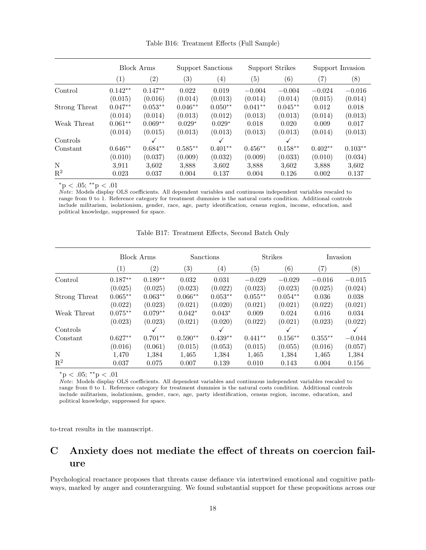|                | <b>Block Arms</b> |           | Support Sanctions |                   | <b>Support Strikes</b> |                   | Support Invasion  |           |
|----------------|-------------------|-----------|-------------------|-------------------|------------------------|-------------------|-------------------|-----------|
|                | $\left( 1\right)$ | (2)       | (3)               | $\left( 4\right)$ | (5)                    | $\left( 6\right)$ | $\left( 7\right)$ | (8)       |
| Control        | $0.142**$         | $0.147**$ | 0.022             | 0.019             | $-0.004$               | $-0.004$          | $-0.024$          | $-0.016$  |
|                | (0.015)           | (0.016)   | (0.014)           | (0.013)           | (0.014)                | (0.014)           | (0.015)           | (0.014)   |
| Strong Threat  | $0.047**$         | $0.053**$ | $0.046**$         | $0.050**$         | $0.041**$              | $0.045**$         | 0.012             | 0.018     |
|                | (0.014)           | (0.014)   | (0.013)           | (0.012)           | (0.013)                | (0.013)           | (0.014)           | (0.013)   |
| Weak Threat    | $0.061**$         | $0.069**$ | $0.029*$          | $0.029*$          | 0.018                  | 0.020             | 0.009             | 0.017     |
|                | (0.014)           | (0.015)   | (0.013)           | (0.013)           | (0.013)                | (0.013)           | (0.014)           | (0.013)   |
| Controls       |                   | ✓         |                   | $\checkmark$      |                        | ✓                 |                   |           |
| Constant       | $0.646**$         | $0.684**$ | $0.585**$         | $0.401**$         | $0.456**$              | $0.158**$         | $0.402**$         | $0.103**$ |
|                | (0.010)           | (0.037)   | (0.009)           | (0.032)           | (0.009)                | (0.033)           | (0.010)           | (0.034)   |
| N              | 3,911             | 3,602     | 3,888             | 3,602             | 3,888                  | 3,602             | 3,888             | 3.602     |
| $\mathbf{R}^2$ | 0.023             | 0.037     | 0.004             | 0.137             | 0.004                  | 0.126             | 0.002             | 0.137     |

Table B16: Treatment Effects (Full Sample)

 $*$ p < .05;  $*$  $*$ p < .01

Note: Models display OLS coefficients. All dependent variables and continuous independent variables rescaled to range from 0 to 1. Reference category for treatment dummies is the natural costs condition. Additional controls include militarism, isolationism, gender, race, age, party identification, census region, income, education, and political knowledge, suppressed for space.

|                | <b>Block Arms</b> |                   | Sanctions         |           | <b>Strikes</b>    |                   | Invasion          |          |
|----------------|-------------------|-------------------|-------------------|-----------|-------------------|-------------------|-------------------|----------|
|                | (1)               | $\left( 2\right)$ | $\left( 3\right)$ | (4)       | $\left( 5\right)$ | $\left( 6\right)$ | $\left( 7\right)$ | (8)      |
| Control        | $0.187**$         | $0.189**$         | 0.032             | 0.031     | $-0.029$          | $-0.029$          | $-0.016$          | $-0.015$ |
|                | (0.025)           | (0.025)           | (0.023)           | (0.022)   | (0.023)           | (0.023)           | (0.025)           | (0.024)  |
| Strong Threat  | $0.065**$         | $0.063**$         | $0.066**$         | $0.053**$ | $0.055**$         | $0.054**$         | 0.036             | 0.038    |
|                | (0.022)           | (0.023)           | (0.021)           | (0.020)   | (0.021)           | (0.021)           | (0.022)           | (0.021)  |
| Weak Threat    | $0.075**$         | $0.079**$         | $0.042*$          | $0.043*$  | 0.009             | 0.024             | 0.016             | 0.034    |
|                | (0.023)           | (0.023)           | (0.021)           | (0.020)   | (0.022)           | (0.021)           | (0.023)           | (0.022)  |
| Controls       |                   |                   |                   | √         |                   |                   |                   |          |
| Constant       | $0.627**$         | $0.701**$         | $0.590**$         | $0.439**$ | $0.441**$         | $0.156**$         | $0.355**$         | $-0.044$ |
|                | (0.016)           | (0.061)           | (0.015)           | (0.053)   | (0.015)           | (0.055)           | (0.016)           | (0.057)  |
| $\mathbf N$    | 1,470             | 1,384             | 1,465             | 1,384     | 1,465             | 1,384             | 1,465             | 1,384    |
| $\mathbf{R}^2$ | 0.037             | 0.075             | 0.007             | 0.139     | 0.010             | 0.143             | 0.004             | 0.156    |

Table B17: Treatment Effects, Second Batch Only

 $*$ p < .05;  $*$  $*$ p < .01

 $\tilde{Note:}$  Models display OLS coefficients. All dependent variables and continuous independent variables rescaled to range from 0 to 1. Reference category for treatment dummies is the natural costs condition. Additional controls include militarism, isolationism, gender, race, age, party identification, census region, income, education, and political knowledge, suppressed for space.

to-treat results in the manuscript.

# <span id="page-56-0"></span>C Anxiety does not mediate the effect of threats on coercion failure

Psychological reactance proposes that threats cause defiance via intertwined emotional and cognitive pathways, marked by anger and counterarguing. We found substantial support for these propositions across our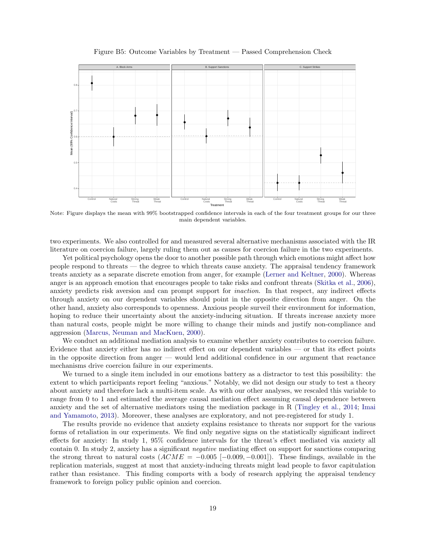<span id="page-57-0"></span>

Figure B5: Outcome Variables by Treatment — Passed Comprehension Check

Note: Figure displays the mean with 99% bootstrapped confidence intervals in each of the four treatment groups for our three main dependent variables.

two experiments. We also controlled for and measured several alternative mechanisms associated with the IR literature on coercion failure, largely ruling them out as causes for coercion failure in the two experiments.

Yet political psychology opens the door to another possible path through which emotions might affect how people respond to threats — the degree to which threats cause anxiety. The appraisal tendency framework treats anxiety as a separate discrete emotion from anger, for example [\(Lerner and Keltner,](#page-59-13) [2000\)](#page-59-13). Whereas anger is an approach emotion that encourages people to take risks and confront threats [\(Skitka et al.,](#page-59-14) [2006\)](#page-59-14), anxiety predicts risk aversion and can prompt support for inaction. In that respect, any indirect effects through anxiety on our dependent variables should point in the opposite direction from anger. On the other hand, anxiety also corresponds to openness. Anxious people surveil their environment for information, hoping to reduce their uncertainty about the anxiety-inducing situation. If threats increase anxiety more than natural costs, people might be more willing to change their minds and justify non-compliance and aggression [\(Marcus, Neuman and MacKuen,](#page-59-15) [2000\)](#page-59-15).

We conduct an additional mediation analysis to examine whether anxiety contributes to coercion failure. Evidence that anxiety either has no indirect effect on our dependent variables — or that its effect points in the opposite direction from anger — would lend additional confidence in our argument that reactance mechanisms drive coercion failure in our experiments.

We turned to a single item included in our emotions battery as a distractor to test this possibility: the extent to which participants report feeling "anxious." Notably, we did not design our study to test a theory about anxiety and therefore lack a multi-item scale. As with our other analyses, we rescaled this variable to range from 0 to 1 and estimated the average causal mediation effect assuming causal dependence between anxiety and the set of alternative mediators using the mediation package in R [\(Tingley et al.,](#page-59-5) [2014;](#page-59-5) [Imai](#page-59-4) [and Yamamoto,](#page-59-4) [2013\)](#page-59-4). Moreover, these analyses are exploratory, and not pre-registered for study 1.

The results provide no evidence that anxiety explains resistance to threats nor support for the various forms of retaliation in our experiments. We find only negative signs on the statistically significant indirect effects for anxiety: In study 1, 95% confidence intervals for the threat's effect mediated via anxiety all contain 0. In study 2, anxiety has a significant negative mediating effect on support for sanctions comparing the strong threat to natural costs  $(ACME = -0.005$  [-0.009, -0.001]). These findings, available in the replication materials, suggest at most that anxiety-inducing threats might lead people to favor capitulation rather than resistance. This finding comports with a body of research applying the appraisal tendency framework to foreign policy public opinion and coercion.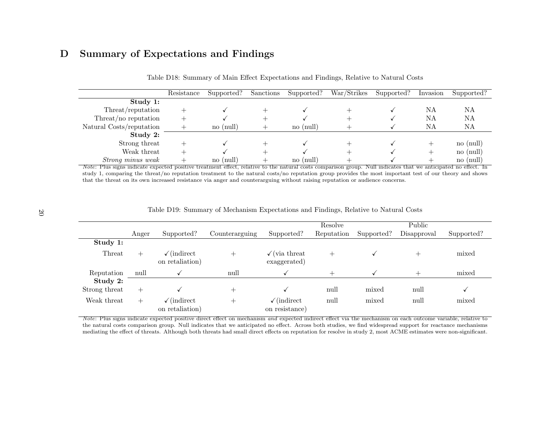# D Summary of Expectations and Findings

|                                                                                                                                                                       | Resistance | Supported?      | Sanctions | Supported?      | War/Strikes | Supported? | Invasion | Supported?      |
|-----------------------------------------------------------------------------------------------------------------------------------------------------------------------|------------|-----------------|-----------|-----------------|-------------|------------|----------|-----------------|
| Study 1:                                                                                                                                                              |            |                 |           |                 |             |            |          |                 |
| Threat/reputation                                                                                                                                                     |            |                 |           |                 |             |            | NΑ       | NΑ              |
| Threat/no reputation                                                                                                                                                  |            |                 |           |                 |             |            | NΑ       | NA              |
| Natural Costs/reputation                                                                                                                                              |            | $no$ ( $null$ ) |           | $no$ (null)     |             |            | ΝA       | NA              |
| Study 2:                                                                                                                                                              |            |                 |           |                 |             |            |          |                 |
| Strong threat                                                                                                                                                         |            |                 |           |                 |             |            |          | $no$ ( $null$ ) |
| Weak threat                                                                                                                                                           |            |                 |           |                 |             |            |          | $no$ ( $null$ ) |
| <i>Strong minus weak</i>                                                                                                                                              |            | no (null)       |           | $no$ ( $null$ ) |             |            |          | $no$ ( $null$ ) |
| <i>Note:</i> Plus signs indicate expected positive treatment effect, relative to the natural costs comparison group. Null indicates that we anticipated no effect. In |            |                 |           |                 |             |            |          |                 |

|  | Table D18: Summary of Main Effect Expectations and Findings, Relative to Natural Costs |  |  |  |  |  |  |
|--|----------------------------------------------------------------------------------------|--|--|--|--|--|--|
|--|----------------------------------------------------------------------------------------|--|--|--|--|--|--|

 study 1, comparing the threat/no reputation treatment to the natural costs/no reputation group provides the most important test of our theory and showsthat the threat on its own increased resistance via anger and counterarguing without raising reputation or audience concerns.

| Table D19: Summary of Mechanism Expectations and Findings, Relative to Natural Costs |  |  |
|--------------------------------------------------------------------------------------|--|--|
|                                                                                      |  |  |

|               |        |                                             |                |                                            | Resolve    |            | Public      |            |
|---------------|--------|---------------------------------------------|----------------|--------------------------------------------|------------|------------|-------------|------------|
|               | Anger  | Supported?                                  | Counterarguing | Supported?                                 | Reputation | Supported? | Disapproval | Supported? |
| Study 1:      |        |                                             |                |                                            |            |            |             |            |
| Threat        | $^{+}$ | $\sqrt{\text{indirect}}$<br>on retaliation) | $^+$           | $\sqrt{\text{via threat}}$<br>exaggerated) | $\pm$      |            | $\!+$       | mixed      |
| Reputation    | null   |                                             | null           |                                            |            |            |             | mixed      |
| Study 2:      |        |                                             |                |                                            |            |            |             |            |
| Strong threat | $+$    |                                             | $^{+}$         |                                            | null       | mixed      | null        |            |
| Weak threat   | $+$    | $\sqrt{\text{indirect}}$<br>on retaliation) | $^{+}$         | $\sqrt{\text{indirect}}$<br>on resistance) | null       | mixed      | null        | mixed      |

<span id="page-58-0"></span>Note: Plus signs indicate expected positive direct effect on mechanism and expected indirect effect via the mechanism on each outcome variable, relative to<br>the network companion group. Null indicates that we entigheted no the natural costs comparison group. Null indicates that we anticipated no effect. Across both studies, we find widespread support for reactance mechanismsmediating the effect of threats. Although both threats had small direct effects on reputation for resolve in study 2, most ACME estimates were non-significant.